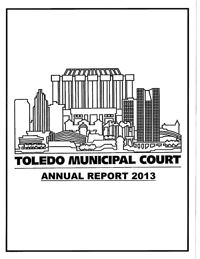

# **ANNUAL REPORT 2013**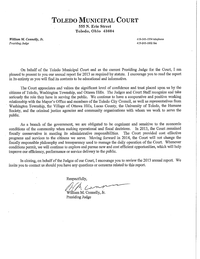# **TOLEDO MUNICIPAL COURT**

555 N. Erie Street Toledo, Ohio 43604

William M. Connelly, Jr. Presiding Judge

419-245-1954 telephone 419-245-1802 fax

On behalf of the Toledo Municipal Court and as the current Presiding Judge for the Court, I am pleased to present to you our annual report for 2013 as required by statute. I encourage you to read the report in its entirety as you will find its contents to be educational and informative.

The Court appreciates and values the significant level of confidence and trust placed upon us by the citizens of Toledo, Washington Township, and Ottawa Hills. The Judges and Court Staff recognize and take seriously the role they have in serving the public. We continue to have a cooperative and positive working relationship with the Mayor's Office and members of the Toledo City Council, as well as representatives from Washington Township, the Village of Ottawa Hills, Lucas County, the University of Toledo, the Humane Society, and the criminal justice agencies and community organizations with whom we work to serve the public.

As a branch of the government, we are obligated to be cognizant and sensitive to the economic conditions of the community when making operational and fiscal decisions. In 2013, the Court remained fiscally conservative in meeting its administrative responsibilities. The Court provided cost effective programs and services to the citizens we serve. Moving forward in 2014, the Court will not change the fiscally responsible philosophy and transparency used to manage the daily operation of the Court. Whenever conditions permit, we will continue to explore and pursue new and cost efficient opportunities, which will help improve our efficiency, performance or service delivery to the public.

In closing, on behalf of the Judges of our Court, I encourage you to review the 2013 annual report. We invite you to contact us should you have any questions or concerns related to this report.

Respectfully,

William M. Connelly, Jr.

Presiding Judge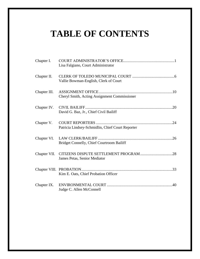# **TABLE OF CONTENTS**

| Chapter I.   | Lisa Falgiano, Court Administrator               |
|--------------|--------------------------------------------------|
| Chapter II.  | Vallie Bowman-English, Clerk of Court            |
| Chapter III. | Cheryl Smith, Acting Assignment Commissioner     |
| Chapter IV.  | David G. Baz, Jr., Chief Civil Bailiff           |
| Chapter V.   | Patricia Lindsey-Schmidlin, Chief Court Reporter |
| Chapter VI.  | <b>Bridget Connelly, Chief Courtroom Bailiff</b> |
|              | James Petas, Senior Mediator                     |
|              | Kim E. Oats, Chief Probation Officer             |
| Chapter IX.  | Judge C. Allen McConnell                         |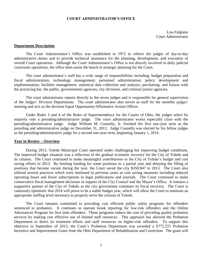#### **COURT ADMINISTRATOR'S OFFICE**

Lisa Falgiano Court Administrator

#### **Department Description**

The Court Administrator's Office was established in 1972 to relieve the judges of day-to-day administrative duties and to provide technical assistance for the planning, development, and execution of overall Court operations. Although the Court Administrator's Office is not directly involved in daily judicial courtroom operations, the office does assist the bench in strategic planning for the Court.

The court administrator's staff has a wide range of responsibilities including: budget preparation and fiscal administration; technology management; personnel administration; policy development and implementation; facilities management; statistical data collection and analysis; purchasing; and liaison with the practicing bar, the public, governmental agencies, city divisions, and criminal justice agencies.

The court administrator reports directly to the seven judges and is responsible for general supervision of the Judges' Division Departments. The court administrator also serves as staff for the monthly judges' meeting and acts as the division Equal Opportunity/Affirmative Action Officer.

Under Rules 3 and 4 of the Rules of Superintendence for the Courts of Ohio, the judges select by majority vote a presiding/administrative judge. The court administrator works especially close with the presiding/administrative judge. Judge William M. Connelly, Jr. finished his first one-year term as the presiding and administrative judge on December 31, 2013. Judge Connelly was elected by his fellow judges as the presiding/administrative judge for a second one-year term, beginning January 1, 2014.

#### **Year in Review – Overview**

During 2013, Toledo Municipal Court operated under challenging but improving budget conditions. The improved budget situation was a reflection of the gradual economic recovery for the City of Toledo and its citizens. The Court continued to make meaningful contributions to the City of Toledo's budget and cost saving efforts in 2013. By limiting funding for some positions to a partial year and delaying the filling of positions that became vacant during the year, the Court saved the city \$350,947 in 2013. The Court also utilized several practices which were instituted in previous years as cost saving measures including reduced operating hours and fewer subscriptions to legal publications and journals. The Court continued to make conservative fiscal management decisions in support of the City Council and the Mayor's Office. It remains a supportive partner of the City of Toledo as the city government continues its fiscal recovery. The Court is cautiously optimistic that 2014 will prove to be a stable budget year, which will allow the Court to maintain an appropriate staffing level necessary to properly serve the citizens of Toledo.

The Court remains committed to providing cost efficient public safety programs for offenders sentenced to probation. It continues to operate kiosk reporting for low-risk offenders and the Online Alternatives Program for first time offenders. These programs reduce the cost of providing quality probation services by making cost effective use of limited staff resources. This approach has allowed the Probation Department to direct its treatment efforts and staff resources on higher-risk offenders. To support this objective in September of 2013, the Court's Probation Department was awarded a \$772,223 Probation Incentive and Improvement Grant from the Ohio Department of Rehabilitation and Correction. The grant will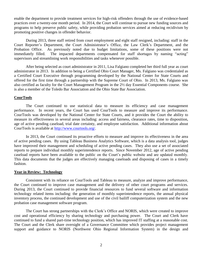enable the department to provide treatment services for high-risk offenders through the use of evidence-based practices over a twenty-one month period. In 2014, the Court will continue to pursue new funding sources and programs to help preserve public safety, while providing probation services aimed at reducing recidivism by promoting positive changes in offender behavior.

During 2013, three staff retired from court employment and eight staff resigned, including: staff in the Court Reporter's Department, the Court Administrator's Office, the Law Clerk's Department, and the Probation Office. As previously noted due to budget limitations, some of these positions were not immediately filled. The impacted departments compensated for staff shortages by naming "acting" supervisors and streamlining work responsibilities and tasks whenever possible.

After being selected as court administrator in 2011, Lisa Falgiano completed her third full year as court administrator in 2013. In addition to being a Certified Ohio Court Manager, Ms. Falgiano was credentialed as a Certified Court Executive through programming developed by the National Center for State Courts and offered for the first time through a partnership with the Supreme Court of Ohio. In 2013, Ms. Falgiano was also certified as faculty for the Court Management Program in the 2½ day Essential Components course. She is also a member of the Toledo Bar Association and the Ohio State Bar Association.

#### **CourTools**

The Court continued to use statistical data to measure its efficiency and case management performance. In recent years, the Court has used CourTools to measure and improve its performance. CourTools was developed by the National Center for State Courts, and it provides the Court the ability to measure its effectiveness in several areas including: access and fairness, clearance rates, time to disposition, age of active pending caseload, trial date certainty, and employee satisfaction. Additional information about CourTools is available at [http://www.courtools.org/.](http://www.courtools.org/)

In 2013, the Court continued its proactive efforts to measure and improve its effectiveness in the area of active pending cases. By using Tableau Business Analytics Software, which is a data analysis tool, judges have improved their management and scheduling of active pending cases. They also use a set of associated reports to prepare individual monthly superintendence reports. Since November 2012, age of active pending caseload reports have been available to the public on the Court's public website and are updated monthly. This data documents that the judges are effectively managing caseloads and disposing of cases in a timely fashion.

#### **Year in Review: Technology**

Consistent with its reliance on CourTools and Tableau to measure, analyze and improve performance, the Court continued to improve case management and the delivery of other court programs and services. During 2013, the Court continued to provide financial resources to fund several software and information technology related items including: the generation of monthly superintendence reports, the annual physical inventory process, the continued development and use of the civil bailiff computerization system and the new probation case management software program.

The Court has strong partnerships with the Clerk's Office and NORIS, which were created to improve cost and operational efficiency by sharing technology and purchasing power. The Court and Clerk have continued to fund a shared part-time technology position, which has improved IT staffing at a reasonable cost. The Court and the Clerk share oversight of a Governance Committee which provides project management support and guidance to NORIS (Northwest Ohio Regional Information System) in the design and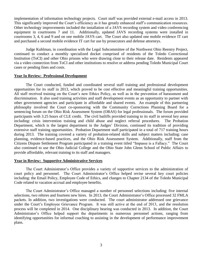implementation of information technology projects. Court staff was provided external e-mail access in 2013. This significantly improved the Court's efficiency as it has greatly enhanced staff's communication resources. Other technology improvements included the installation of a JAVS recording system and video conferencing equipment in courtrooms 7 and 11. Additionally, updated JAVS recording systems were installed in courtrooms 3, 4, 6 and 9 and on one mobile JAVS cart. The Court also updated one mobile evidence IT cart and purchased a second mobile evidence IT cart for use by prosecutors and defense attorneys.

Judge Kuhlman, in coordination with the Legal Subcommittee of the Northwest Ohio Reentry Project, continued to conduct a monthly specialized docket comprised of residents of the Toledo Correctional Institution (ToCI) and other Ohio prisons who were drawing close to their release date. Residents appeared via a video connection from ToCI and other institutions to resolve or address pending Toledo Municipal Court cases or pending fines and costs.

#### **Year In Review: Professional Development**

The Court conducted, funded and coordinated several staff training and professional development opportunities for its staff in 2013, which proved to be cost effective and meaningful training opportunities. All staff received training on the Court's new Ethics Policy, as well as in the prevention of harassment and discrimination. It also used training activities and staff development events as an opportunity to partner with other government agencies and participate in affordable and shared events. An example of this partnering philosophy involved the Court co-sponsoring with the Community Corrections Planning Board for a sentencing forum on the Ohio Risk Assessment System (ORAS) for legal professionals. The forum provided participants with 3.25 hours of CLE credit. The civil bailiffs provided training to its staff in several key areas including: crisis intervention training and child abuse and neglect referral procedures. The Probation Department, which is the largest department in the Judges' Division, continued its tradition of providing extensive staff training opportunities. Probation Department staff participated in a total of 717 training hours during 2013. The training covered a variety of probation-related skills and subject matters including: case planning, evidence-based practices, and the Ohio Risk Assessment System. Additionally, staff from the Citizens Dispute Settlement Program participated in a training event titled "Impasse is a Fallacy." The Court also continued to use the Ohio Judicial College and the Ohio State John Glenn School of Public Affairs to provide affordable, relevant training to its staff and managers.

#### **Year in Review: Supportive Administrative Services**

The Court Administrator's Office provides a variety of supportive services to the administration of court policy and personnel. The Court Administrator's Office helped revise several key court policies including: the Email Policy, Employee Code of Ethics, and changes to Chapter 2134 of the Toledo Municipal Code related to vacation accrual and employee benefits.

The Court Administrator's Office managed a number of personnel selections including: five internal selections, two rehires and fourteen new hires. In 2013, the Court Administrator's Office processed 32 FMLA packets. In addition, two investigations were conducted. The court administrator addressed one grievance under the Court's Employee Grievance Program. It was still active at the end of 2013, and the resolution process will be completed in 2014. One disciplinary hearing was conducted in 2013. In addition, the Court Administrator's Office helped support the departments in numerous personnel actions, ranging from identifying opportunities for informal coaching to assisting in the development of performance improvement plans.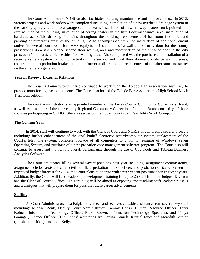The Court Administrator's Office also facilitates building maintenance and improvements. In 2013, various projects and work orders were completed including: completion of a new overhead drainage system in the parking garage, repairs to a garage support beam, installation of new hallway heaters, tuck pointed one external side of the building, installation of ceiling heaters in the fifth floor mechanical area, installation of handicap accessible drinking fountains throughout the building, replacement of bathroom floor tile, and painting of numerous areas of the building. Also accomplished were the installation of additional circuit outlets in several courtrooms for JAVS equipment, installation of a wall and security door for the county prosecutor's domestic violence second floor waiting area and modification of the entrance door to the city prosecutor's domestic violence third floor waiting area. Also completed was the purchase and installation of a security camera system to monitor activity in the second and third floor domestic violence waiting areas, construction of a probation intake area in the former auditorium, and replacement of the alternator and starter on the emergency generator.

#### **Year in Review: External Relations**

The Court Administrator's Office continued to work with the Toledo Bar Association Auxiliary to provide tours for high school students. The Court also hosted the Toledo Bar Association's High School Mock Trial Competition.

The court administrator is an appointed member of the Lucas County Community Corrections Board, as well as a member of the four-county Regional Community Corrections Planning Board consisting of those counties participating in CCNO. She also serves on the Lucas County Jail Feasibility Work Group.

#### **The Coming Year**

In 2014, staff will continue to work with the Clerk of Court and NORIS in completing several projects including: further enhancement of the civil bailiff electronic record/computer system, replacement of the Court's telephone system, complete upgrade of all computers to allow for running of Windows Seven Operating System, and purchase of a new probation case management software program. The Court also will continue to assess and monitor its overall performance through the use of CourTools and Tableau Business Analytics Software.

The Court anticipates filling several vacant positions next year including: assignment commissioner, assignment clerks, assistant chief civil bailiff, a probation intake officer, and probation officers. Given its improved budget forecast for 2014, the Court plans to operate with fewer vacant positions than in recent years. Additionally, the Court will fund leadership development training for up to 25 staff from the Judges' Division and the Clerk of Court's Office. This training will be aimed at exposing and teaching staff leadership skills and techniques that will prepare them for possible future career advancements.

#### **Staffing**

As Court Administrator, Lisa Falgiano oversees and receives valuable assistance from several key staff including: Michael Zenk, Deputy Court Administrator, Tammy Harris, Human Resource Officer, Terry Koluch, Information Technology Officer, Blake Brown, Information Technology Specialist, and Tonya Grainger, Finance Officer. The judges' secretaries are Dorlisa Daniels, Krystal Jones and Meredith Kurucz (job share position), and Joan Kelly.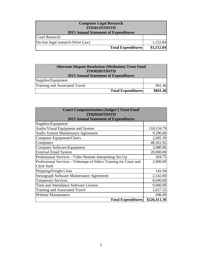| <b>Computer Legal Research</b><br>3T03013STDSTD |            |  |  |  |  |  |
|-------------------------------------------------|------------|--|--|--|--|--|
| <b>2013 Annual Statement of Expenditures</b>    |            |  |  |  |  |  |
| <b>Court Research</b>                           |            |  |  |  |  |  |
| On-line legal research (West Law)               | 1,152.84   |  |  |  |  |  |
| <b>Total Expenditures</b>                       | \$1,152.84 |  |  |  |  |  |

| <b>Alternate Dispute Resolution (Mediation) Trust Fund</b><br>3T03028STDSTD<br><b>2013 Annual Statement of Expenditures</b> |          |  |  |  |  |
|-----------------------------------------------------------------------------------------------------------------------------|----------|--|--|--|--|
| Supplies/Equipment                                                                                                          |          |  |  |  |  |
| Training and Associated Travel                                                                                              | 841.46   |  |  |  |  |
| <b>Total Expenditures</b>                                                                                                   | \$841.46 |  |  |  |  |

| <b>Court Computerization (Judges') Trust Fund</b><br>3T02916STDSTD |              |
|--------------------------------------------------------------------|--------------|
| <b>2013 Annual Statement of Expenditures</b>                       |              |
| Supplies/Equipment                                                 |              |
| Audio/Visual Equipment and System                                  | 118,134.79   |
| Audio System Maintenance Agreement                                 | 9,296.00     |
| Computer Equipment/Chairs                                          | 2,685.39     |
| Computers                                                          | 48,561.92    |
| Computer Software/Equipment                                        | 3,480.96     |
| <b>External Email System</b>                                       | 20,000.00    |
| Professional Services - Video Remote Interpreting Set-Up           | 204.75       |
| Professional Services - Videotape of Ethics Training for Court and | 2,000.00     |
| <b>Clerk Staff</b>                                                 |              |
| Shipping/Freight Costs                                             | 141.94       |
| Stenograph Software Maintenance Agreement                          | 2,142.00     |
| <b>Temporary Services</b>                                          | 8,040.00     |
| Time and Attendance Software License                               | 9,000.00     |
| <b>Training and Associated Travel</b>                              | 2,027.55     |
| <b>Website Maintenance</b>                                         | 696.00       |
| <b>Total Expenditures</b>                                          | \$226,411.30 |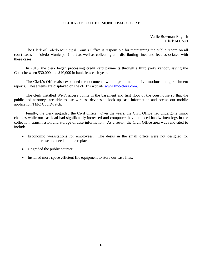### **CLERK OF TOLEDO MUNICIPAL COURT**

<span id="page-8-0"></span>Vallie Bowman-English Clerk of Court

The Clerk of Toledo Municipal Court's Office is responsible for maintaining the public record on all court cases in Toledo Municipal Court as well as collecting and distributing fines and fees associated with these cases.

In 2013, the clerk began processing credit card payments through a third party vendor, saving the Court between \$30,000 and \$40,000 in bank fees each year.

The Clerk's Office also expanded the documents we image to include civil motions and garnishment reports. These items are displayed on the clerk's website [www.tmc-clerk.com.](http://www.tmc-clerk.com/)

The clerk installed Wi-Fi access points in the basement and first floor of the courthouse so that the public and attorneys are able to use wireless devices to look up case information and access our mobile application TMC CourtWatch.

Finally, the clerk upgraded the Civil Office. Over the years, the Civil Office had undergone minor changes while our caseload had significantly increased and computers have replaced handwritten logs in the collection, transmission and storage of case information. As a result, the Civil Office area was renovated to include:

- Ergonomic workstations for employees. The desks in the small office were not designed for computer use and needed to be replaced.
- Upgraded the public counter.
- Installed more space efficient file equipment to store our case files.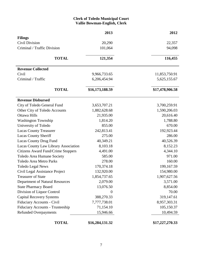# **Clerk of Toledo Municipal Court Vallie Bowman-English, Clerk**

|                                           | 2013            | 2012            |
|-------------------------------------------|-----------------|-----------------|
| <b>Filings</b>                            |                 |                 |
| <b>Civil Division</b>                     | 20,290          | 22,357          |
| Criminal / Traffic Division               | 101,064         | 94,098          |
| <b>TOTAL</b>                              | 121,354         | 116,455         |
| <b>Revenue Collected</b>                  |                 |                 |
| Civil                                     | 9,966,733.65    | 11,853,750.91   |
| Criminal / Traffic                        | 6,206,454.94    | 5,625,155.67    |
| <b>TOTAL</b>                              | \$16,173,188.59 | \$17,478,906.58 |
| <b>Revenue Disbursed</b>                  |                 |                 |
| City of Toledo General Fund               | 3,653,707.21    | 3,700,259.91    |
| Other City of Toledo Accounts             | 1,882,628.68    | 1,590,206.03    |
| Ottawa Hills                              | 21,935.00       | 20,616.40       |
| <b>Washington Township</b>                | 1,814.20        | 1,788.80        |
| University of Toledo                      | 855.00          | 670.00          |
| <b>Lucas County Treasurer</b>             | 242,813.41      | 192,923.44      |
| <b>Lucas County Sheriff</b>               | 275.00          | 286.00          |
| Lucas County Drug Fund                    | 40,349.21       | 40,526.39       |
| Lucas County Law Library Association      | 8,103.18        | 8,152.23        |
| <b>Citizens Award Fund/Crime Stoppers</b> | 4,491.00        | 4,344.10        |
| Toledo Area Humane Society                | 585.00          | 971.00          |
| <b>Toledo Area Metro Parks</b>            | 278.00          | 160.00          |
| <b>Toledo Legal News</b>                  | 170,374.18      | 199,167.59      |
| Civil Legal Assistance Project            | 132,920.00      | 154,980.00      |
| <b>Treasurer of State</b>                 | 1,854,737.65    | 1,907,627.56    |
| Department of Natural Resources           | 2,079.00        | 3,571.00        |
| <b>State Pharmacy Board</b>               | 13,076.50       | 8,854.00        |
| Division of Liquor Control                | $\theta$        | 70.00           |
| <b>Capital Recovery Systems</b>           | 388,270.33      | 319,147.61      |
| Fiduciary Accounts - Civil                | 7,777,738.01    | 8,957,303.31    |
| Fiduciary Accounts - Trusteeship          | 71,154.10       | 105,150.37      |
| Refunded Overpayments                     | 15,946.66       | 10,494.59       |
| <b>TOTAL</b>                              | \$16,284,131.32 | \$17,227,270.33 |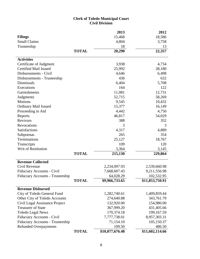#### **Clerk of Toledo Municipal Court Civil Division**

|                                         |              | 2013            | 2012            |
|-----------------------------------------|--------------|-----------------|-----------------|
| <b>Filings</b>                          |              | 15,468          | 18,586          |
| <b>Small Claims</b>                     |              | 4,804           | 3,758           |
| Trusteeship                             |              | 18              | 13              |
|                                         | <b>TOTAL</b> | 20,290          | 22,357          |
| <b>Activities</b>                       |              |                 |                 |
| Certificate of Judgment                 |              | 3,938           | 4,734           |
| <b>Certified Mail Issued</b>            |              | 25,992          | 28,180          |
| Disbursements - Civil                   |              | 4,646           | 6,498           |
| Disbursements - Trusteeship             |              | 436             | 632             |
| Dismissals                              |              | 6,404           | 5,708           |
| Executions                              |              | 164             | 122             |
| Garnishments                            |              | 11,081          | 12,731          |
| Judgments                               |              | 52,715          | 58,269          |
| <b>Motions</b>                          |              | 9,545           | 10,432          |
| <b>Ordinary Mail Issued</b>             |              | 15,377          | 16,149          |
| Proceeding in Aid                       |              | 4,442           | 4,750           |
| Reports                                 |              | 46,817          | 54,029          |
| Revivors                                |              | 388             | 352             |
| <b>Revocations</b>                      |              | 3               | 3               |
| <b>Satisfactions</b>                    |              | 4,317           | 4,889           |
| Subpoenas                               |              | 265             | 354             |
| Terminations                            |              | 25,127          | 18,767          |
| Transcripts                             |              | 109             | 120             |
| Writ of Restitution                     |              | 3,364           | 3,145           |
|                                         | <b>TOTAL</b> | 215,130         | 229,864         |
| <b>Revenue Collected</b>                |              |                 |                 |
| Civil Revenue                           |              | 2,234,097.93    | 2,539,660.98    |
| Fiduciary Accounts - Civil              |              | 7,668,607.43    | 9,211,556.98    |
| <b>Fiduciary Accounts - Trusteeship</b> |              | 64,028.29       | 102,532.95      |
|                                         | <b>TOTAL</b> | \$9,966,733.65  | \$11,853,750.91 |
| <b>Revenue Disbursed</b>                |              |                 |                 |
| City of Toledo General Fund             |              | 1,282,740.61    | 1,409,859.44    |
| Other City of Toledo Accounts           |              | 274,640.88      | 343,761.79      |
| Civil Legal Assistance Project          |              | 132,920.00      | 154,980.00      |
| <b>Treasurer of State</b>               |              | 367,999.20      | 431,405.66      |
| <b>Toledo Legal News</b>                |              | 170,374.18      | 199,167.59      |
| Fiduciary Accounts - Civil              |              | 7,777,738.01    | 8,957,303.31    |
| Fiduciary Accounts - Trusteeship        |              | 71,154.10       | 105,150.37      |
| <b>Refunded Overpayments</b>            |              | 109.50          | 486.50          |
|                                         | <b>TOTAL</b> | \$10,077,676.48 | \$11,602,114.66 |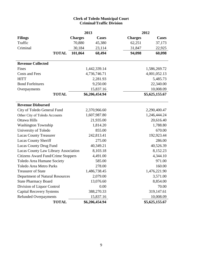# **Clerk of Toledo Municipal Court Criminal/Traffic Division**

|                                           | 2013           |                | 2012           |                |  |  |
|-------------------------------------------|----------------|----------------|----------------|----------------|--|--|
| <b>Filings</b>                            | <b>Charges</b> | <b>Cases</b>   | <b>Charges</b> | <b>Cases</b>   |  |  |
| Traffic                                   | 70,880         | 45,380         | 62,251         | 37,173         |  |  |
| Criminal                                  | 30,184         | 23,114         | 31,847         | 22,925         |  |  |
| <b>TOTAL</b>                              | 101,064        | 68,494         | 94,098         | 60,098         |  |  |
| <b>Revenue Collected</b>                  |                |                |                |                |  |  |
| Fines                                     |                | 1,442,339.14   |                | 1,586,269.72   |  |  |
| Costs and Fees                            |                | 4,736,746.71   |                | 4,001,052.13   |  |  |
| <b>HITT</b>                               |                | 2,281.93       |                | 5,485.73       |  |  |
| <b>Bond Forfeitures</b>                   |                | 9,250.00       |                | 22,340.00      |  |  |
| Overpayments                              |                | 15,837.16      |                | 10,008.09      |  |  |
| <b>TOTAL</b>                              |                | \$6,206,454.94 |                | \$5,625,155.67 |  |  |
| <b>Revenue Disbursed</b>                  |                |                |                |                |  |  |
| City of Toledo General Fund               |                | 2,370,966.60   | 2,290,400.47   |                |  |  |
| Other City of Toledo Accounts             |                | 1,607,987.80   | 1,246,444.24   |                |  |  |
| Ottawa Hills                              |                | 21,935.00      |                | 20,616.40      |  |  |
| <b>Washington Township</b>                |                | 1,814.20       | 1,788.80       |                |  |  |
| University of Toledo                      |                | 855.00         |                |                |  |  |
| <b>Lucas County Treasurer</b>             |                | 242,813.41     |                | 192,923.44     |  |  |
| Lucas County Sheriff                      |                | 275.00         |                | 286.00         |  |  |
| Lucas County Drug Fund                    |                | 40,349.21      |                | 40,526.39      |  |  |
| Lucas County Law Library Association      |                | 8,103.18       |                | 8,152.23       |  |  |
| <b>Citizens Award Fund/Crime Stoppers</b> |                | 4,491.00       |                | 4,344.10       |  |  |
| Toledo Area Humane Society                |                | 585.00         |                | 971.00         |  |  |
| <b>Toledo Area Metro Parks</b>            |                | 278.00         |                | 160.00         |  |  |
| <b>Treasurer of State</b>                 |                | 1,486,738.45   |                | 1,476,221.90   |  |  |
| Department of Natural Resources           |                | 2,079.00       |                | 3,571.00       |  |  |
| <b>State Pharmacy Board</b>               |                | 13,076.60      |                | 8,854.00       |  |  |
| Division of Liquor Control                |                | 0.00           | 70.00          |                |  |  |
| <b>Capital Recovery Systems</b>           |                | 388,270.33     | 319,147.61     |                |  |  |
| <b>Refunded Overpayments</b>              |                | 15,837.16      |                | 10,008.09      |  |  |
| <b>TOTAL</b>                              |                | \$6,206,454.94 |                | \$5,625,155.67 |  |  |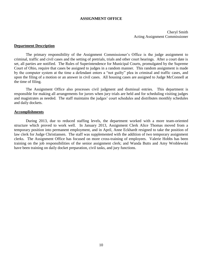#### **ASSIGNMENT OFFICE**

<span id="page-12-0"></span>Cheryl Smith Acting Assignment Commissioner

#### **Department Description**

The primary responsibility of the Assignment Commissioner's Office is the judge assignment to criminal, traffic and civil cases and the setting of pretrials, trials and other court hearings. After a court date is set, all parties are notified. The Rules of Superintendence for Municipal Courts, promulgated by the Supreme Court of Ohio, require that cases be assigned to judges in a random manner. This random assignment is made by the computer system at the time a defendant enters a "not guilty" plea in criminal and traffic cases, and upon the filing of a motion or an answer in civil cases. All housing cases are assigned to Judge McConnell at the time of filing.

The Assignment Office also processes civil judgment and dismissal entries. This department is responsible for making all arrangements for jurors when jury trials are held and for scheduling visiting judges and magistrates as needed. The staff maintains the judges' court schedules and distributes monthly schedules and daily dockets.

#### **Accomplishments**

During 2013, due to reduced staffing levels, the department worked with a more team-oriented structure which proved to work well. In January 2013, Assignment Clerk Alice Thomas moved from a temporary position into permanent employment, and in April, Anne Eckhardt resigned to take the position of law clerk for Judge Christiansen. The staff was supplemented with the addition of two temporary assignment clerks. The Assignment Office has focused on more cross-training of employees. Valerie Hobbs has been training on the job responsibilities of the senior assignment clerk; and Wanda Butts and Amy Wroblewski have been training on daily docket preparation, civil tasks, and jury functions.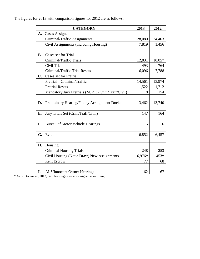The figures for 2013 with comparison figures for 2012 are as follows:

|           | <b>CATEGORY</b>                                    | 2013   | 2012   |
|-----------|----------------------------------------------------|--------|--------|
| A.        | <b>Cases Assigned</b>                              |        |        |
|           | Criminal/Traffic Assignments                       | 28,080 | 24,463 |
|           | Civil Assignments (including Housing)              | 7,819  | 1,456  |
|           |                                                    |        |        |
| <b>B.</b> | Cases set for Trial                                |        |        |
|           | Criminal/Traffic Trials                            | 12,831 | 10,057 |
|           | <b>Civil Trials</b>                                | 493    | 764    |
|           | Criminal/Traffic Trial Resets                      | 6,096  | 7,788  |
| C.        | <b>Cases set for Pretrial</b>                      |        |        |
|           | Pretrial - Criminal/Traffic                        | 14,561 | 13,974 |
|           | <b>Pretrial Resets</b>                             | 1,522  | 1,712  |
|           | Mandatory Jury Pretrials (MJPT) (Crim/Traff/Civil) | 118    | 154    |
|           |                                                    |        |        |
| D.        | Preliminary Hearing/Felony Arraignment Docket      | 13,462 | 13,740 |
|           |                                                    |        |        |
| E.        | Jury Trials Set (Crim/Traff/Civil)                 | 147    | 164    |
|           |                                                    |        |        |
| F.        | <b>Bureau of Motor Vehicle Hearings</b>            | 5      | 6      |
|           |                                                    |        |        |
| G.        | Eviction                                           | 6,852  | 6,457  |
|           |                                                    |        |        |
| Н.        | Housing                                            |        |        |
|           | <b>Criminal Housing Trials</b>                     | 248    | 253    |
|           | Civil Housing (Not a Draw) New Assignments         | 6,976* | 453*   |
|           | <b>Rent Escrow</b>                                 | 77     | 68     |
|           |                                                    |        |        |
| I.        | <b>ALS/Innocent Owner Hearings</b>                 | 62     | 67     |

\* As of December, 2012, civil housing cases are assigned upon filing.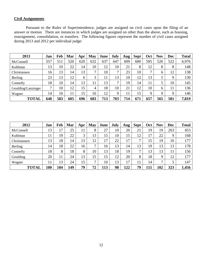# **Civil Assignments**

Pursuant to the Rules of Superintendence, judges are assigned on civil cases upon the filing of an answer or motion. There are instances in which judges are assigned on other than the above, such as housing, reassignment, consolidation, or transfers. The following figures represent the number of civil cases assigned during 2013 and 2012 per individual judge:

| 2013               | Jan          | Feb | Mar | Apr | May          | June | July | Aug | <b>Sept</b>     | <b>Oct</b>   | <b>Nov</b> | <b>Dec</b>  | <b>Total</b> |
|--------------------|--------------|-----|-----|-----|--------------|------|------|-----|-----------------|--------------|------------|-------------|--------------|
| McConnell          | 557          | 511 | 520 | 620 | 632          | 637  | 647  | 609 | 600             | 595          | 526        | 522         | 6,976        |
| Kuhlman            | 13           | 10  | 22  | 14  | 10           | 12   | 10   | 21  | 8               | 12           | 8          | 8           | 148          |
| Christiansen       | 16           | 13  | 14  | 13  | $\mathbf{r}$ | 10   | 7    | 23  | 10              | $\mathbf{r}$ | 6          | 12          | 138          |
| Berling            | 23           | 13  | 12  | 6   | 3            |      | 13   | 10  | 12              | 13           | 5          | Q           | 130          |
| Connelly           | 18           | 10  | 14  | 13  | 11           | 13   | 7    | 19  | $\overline{14}$ | 11           | 5          | 10          | 145          |
| Goulding/Lanzinger | $\mathbf{r}$ | 10  | 12  | 15  | 4            | 18   | 10   | 21  | 12              | 10           | 6          | 11          | 136          |
| Wagner             | 14           | 16  | 11  | 15  | 16           | 12   | 9    | 11  | 15 <sup>5</sup> | $\mathbf Q$  | 9          | $\mathbf Q$ | 146          |
| <b>TOTAL</b>       | 648          | 583 | 605 | 696 | 683          | 713  | 703  | 714 | 671             | 657          | 565        | 581         | 7,819        |

| 2012         | Jan             | Feb | Mar | Apr | May          | June | July | Aug | <b>Sept</b>  | Oct | <b>Nov</b> | Dec | <b>Total</b> |
|--------------|-----------------|-----|-----|-----|--------------|------|------|-----|--------------|-----|------------|-----|--------------|
| McConnell    | 13              | 7   | 25  | 11  | 8            | 27   | 10   | 20  | 21           | 19  | 19         | 263 | 453          |
| Kuhlman      |                 | 19  | 22  | 3   | 13           | 15   | 10   | 15  | 12           | 17  | 22         | 9   | 168          |
| Christiansen | 13              | 18  | 14  | 13  | 12           | 17   | 22   | 17  | $\mathbf{r}$ | 15  | 19         | 10  | 177          |
| Berling      | $\overline{14}$ | 18  | 22  | 16  | $\mathbf{r}$ | 16   | 13   | 14  | 13           | 19  | 13         | 13  | 178          |
| Connelly     | 18              | 8   | 18  | 8   | 10           | 13   | 18   | 19  | 7            | 13  | 13         | 11  | 156          |
| Goulding     | 20              | 11  | 24  | 13  | 15           | 15   | 12   | 20  | 8            | 18  | 9          | 12  | 177          |
| Wagner       | 11              | 3   | 24  | 15  | $\mathbf{r}$ | 10   | 13   | 17  | 11           | 14  | 7          |     | 147          |
| <b>TOTAL</b> | 100             | 104 | 149 | 79  | 72           | 113  | 98   | 122 | 79           | 115 | 102        | 323 | 1,456        |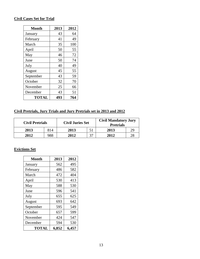# **Civil Cases Set for Trial**

| <b>Month</b> | 2013 | 2012 |
|--------------|------|------|
| January      | 43   | 64   |
| February     | 41   | 49   |
| March        | 35   | 100  |
| April        | 50   | 55   |
| May          | 46   | 72   |
| June         | 50   | 74   |
| July         | 40   | 49   |
| August       | 45   | 55   |
| September    | 43   | 59   |
| October      | 32   | 70   |
| November     | 25   | 66   |
| December     | 43   | 51   |
| TOTAL        | 493  | 764  |

# **Civil Pretrials, Jury Trials and Jury Pretrials set in 2013 and 2012**

| <b>Civil Pretrials</b> |     | <b>Civil Juries Set</b> |    | <b>Civil Mandatory Jury</b><br><b>Pretrials</b> |  |  |
|------------------------|-----|-------------------------|----|-------------------------------------------------|--|--|
| 2013                   | 814 | 2013                    |    | 2013                                            |  |  |
| 2012                   | 988 | 2012                    | 27 | 2012                                            |  |  |

# **Evictions Set**

| <b>Month</b> | 2013  | 2012  |
|--------------|-------|-------|
| January      | 562   | 495   |
| February     | 486   | 582   |
| March        | 472   | 404   |
| April        | 530   | 413   |
| May          | 588   | 530   |
| June         | 596   | 541   |
| July         | 655   | 625   |
| August       | 693   | 642   |
| September    | 595   | 549   |
| October      | 657   | 599   |
| November     | 424   | 547   |
| December     | 594   | 530   |
| TOTAL        | 6,852 | 6,457 |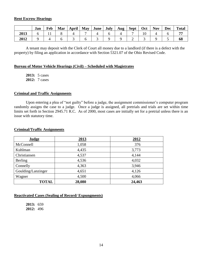#### **Rent Escrow Hearings**

|      | Jan | Feb | Mar | April | May | <b>June</b> | <b>July</b> | Aug | <b>Sept</b> | Oct | <b>Nov</b> | <b>Dec</b> | <b>Total</b> |
|------|-----|-----|-----|-------|-----|-------------|-------------|-----|-------------|-----|------------|------------|--------------|
| 2013 |     |     |     |       |     |             |             |     |             |     |            |            |              |
| 2012 |     |     |     |       |     |             |             |     |             |     |            |            | 68           |

A tenant may deposit with the Clerk of Court all money due to a landlord (if there is a defect with the property) by filing an application in accordance with Section 5321.07 of the Ohio Revised Code.

#### **Bureau of Motor Vehicle Hearings (Civil) – Scheduled with Magistrates**

**2013:** 5 cases **2012:** 7 cases

#### **Criminal and Traffic Assignments**

Upon entering a plea of "not guilty" before a judge, the assignment commissioner's computer program randomly assigns the case to a judge. Once a judge is assigned, all pretrials and trials are set within time limits set forth in Section 2945.71 R.C. As of 2000, most cases are initially set for a pretrial unless there is an issue with statutory time.

# **Judge 2013 2012** McConnell 1,058 376 Kuhlman 1,435 3,773 Christiansen 1.537 1.144 Berling 4,536 4,032 Connelly 4,363 3,946 Goulding/Lanzinger 2,651 4,126 Wagner 4,500 4,066 **TOTAL 28,080 24,463**

#### **Criminal/Traffic Assignments**

#### **Reactivated Cases (Sealing of Record/ Expungments)**

**2013:** 659 **2012:** 496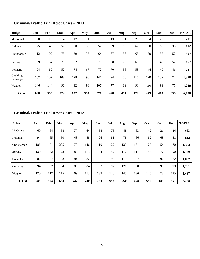# **Criminal/Traffic Trial Reset Cases – 2013**

| Judge                  | Jan | Feb | Mar | Apr | May | Jun | Jul | Aug | <b>Sep</b> | Oct | <b>Nov</b> | <b>Dec</b> | <b>TOTAL</b> |
|------------------------|-----|-----|-----|-----|-----|-----|-----|-----|------------|-----|------------|------------|--------------|
| McConnell              | 20  | 15  | 14  | 17  | 11  | 17  | 13  | 11  | 20         | 24  | 20         | 19         | 201          |
| Kuhlman                | 75  | 45  | 57  | 80  | 56  | 52  | 39  | 63  | 67         | 60  | 60         | 38         | 692          |
| Christiansen           | 112 | 109 | 75  | 139 | 133 | 64  | 67  | 56  | 65         | 70  | 55         | 52         | 997          |
| Berling                | 89  | 64  | 78  | 102 | 99  | 75  | 68  | 70  | 65         | 51  | 49         | 57         | 867          |
| Connelly               | 94  | 69  | 52  | 74  | 67  | 72  | 70  | 56  | 53         | 44  | 49         | 41         | 741          |
| Goulding/<br>Lanzinger | 162 | 107 | 108 | 128 | 90  | 141 | 94  | 106 | 116        | 120 | 132        | 74         | 1,378        |
| Wagner                 | 146 | 144 | 90  | 92  | 98  | 107 | 77  | 89  | 93         | 110 | 99         | 75         | 1,220        |
| <b>TOTAL</b>           | 698 | 553 | 474 | 632 | 554 | 528 | 428 | 451 | 479        | 479 | 464        | 356        | 6,096        |

# **Criminal/Traffic Trial Reset Cases – 2012**

| Judge        | Jan | Feb | Mar | Apr | May | Jun | Jul | Aug | Sep | Oct | <b>Nov</b> | <b>Dec</b> | <b>TOTAL</b> |
|--------------|-----|-----|-----|-----|-----|-----|-----|-----|-----|-----|------------|------------|--------------|
| McConnell    | 69  | 64  | 58  | 77  | 64  | 58  | 75  | 48  | 63  | 42  | 21         | 24         | 663          |
| Kuhlman      | 94  | 65  | 50  | 43  | 58  | 96  | 81  | 78  | 66  | 62  | 68         | 51         | 812          |
| Christiansen | 186 | 71  | 205 | 79  | 146 | 119 | 122 | 133 | 131 | 77  | 54         | 70         | 1,393        |
| Berling      | 139 | 82  | 73  | 89  | 113 | 104 | 52  | 117 | 117 | 87  | 77         | 90         | 1,140        |
| Connelly     | 82  | 77  | 53  | 84  | 82  | 106 | 96  | 119 | 87  | 132 | 92         | 82         | 1,092        |
| Goulding     | 94  | 82  | 84  | 86  | 84  | 162 | 97  | 120 | 98  | 102 | 93         | 99         | 1,201        |
| Wagner       | 120 | 112 | 115 | 69  | 173 | 139 | 120 | 145 | 136 | 145 | 78         | 135        | 1,487        |
| <b>TOTAL</b> | 784 | 553 | 638 | 527 | 720 | 784 | 643 | 760 | 698 | 647 | 483        | 551        | 7,788        |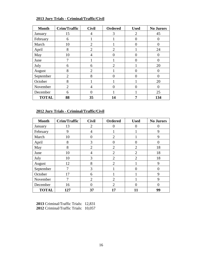# **2013 Jury Trials - Criminal/Traffic/Civil**

| <b>Month</b> | <b>Crim/Traffic</b> | <b>Civil</b>   | <b>Ordered</b> | <b>Used</b>    | <b>No Jurors</b> |
|--------------|---------------------|----------------|----------------|----------------|------------------|
| January      | 15                  | 4              | 3              | $\overline{2}$ | 45               |
| February     | 6                   | 1              |                | 0              | $\Omega$         |
| March        | 10                  | $\overline{2}$ |                | 0              |                  |
| April        | 8                   | $\overline{2}$ | $\overline{2}$ |                | 24               |
| May          | 10                  | $\overline{4}$ | $\overline{0}$ | 0              | $\Omega$         |
| June         | 7                   |                |                | 0              |                  |
| July         | 6                   | 6              | $\overline{2}$ |                | 20               |
| August       | 8                   | $\overline{2}$ |                | $\mathcal{L}$  | $\Omega$         |
| September    | $\overline{c}$      | 8              | 0              | 0              |                  |
| October      | 8                   | 1              |                |                | 20               |
| November     | $\overline{2}$      | $\overline{4}$ | $\Omega$       | 0              | $\Omega$         |
| December     | 6                   | 0              |                |                | 25               |
| <b>TOTAL</b> | 88                  | 35             | 14             | 7              | 134              |

# **2012 Jury Trials - Criminal/Traffic/Civil**

| <b>Month</b> | Crim/Traffic | <b>Civil</b>   | <b>Ordered</b> | <b>Used</b>    | <b>No Jurors</b> |
|--------------|--------------|----------------|----------------|----------------|------------------|
| January      | 13           | $\overline{2}$ | 0              | 0              | 0                |
| February     | 9            | 4              |                |                | 9                |
| March        | 10           | 0              | $\overline{2}$ |                | 9                |
| April        | 8            | 3              | $\overline{0}$ | $\Omega$       | $\Omega$         |
| May          | 8            | $\overline{2}$ | $\overline{2}$ | $\overline{2}$ | 18               |
| June         | 10           | 4              | $\overline{2}$ | $\overline{2}$ | 18               |
| July         | 10           | 3              | $\overline{2}$ | $\overline{2}$ | 18               |
| August       | 12           | 8              | $\overline{2}$ |                | 9                |
| September    | 7            | 3              |                | $\Omega$       | $\Omega$         |
| October      | 17           | 6              |                |                | 9                |
| November     | 7            | $\overline{2}$ | $\overline{2}$ |                | 9                |
| December     | 16           | 0              | $\overline{2}$ | $\Omega$       | 0                |
| <b>TOTAL</b> | 127          | 37             | 17             | 11             | 99               |

**2013** Criminal/Traffic Trials: 12,831 **2012** Criminal/Traffic Trials: 10,057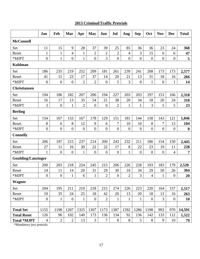# **2013 Criminal/Traffic Pretrials**

|                           | Jan            | Feb              | Mar                      | Apr              | <b>May</b>       | Jun            | Jul              | Aug            | <b>Sep</b>       | Oct              | <b>Nov</b>     | Dec              | <b>Total</b>     |
|---------------------------|----------------|------------------|--------------------------|------------------|------------------|----------------|------------------|----------------|------------------|------------------|----------------|------------------|------------------|
| <b>McConnell</b>          |                |                  |                          |                  |                  |                |                  |                |                  |                  |                |                  |                  |
| Set                       | 11             | 15               | 9                        | 28               | 37               | 39             | 25               | 85             | 36               | 36               | 23             | 24               | 368              |
| Reset                     | $\mathbf{1}$   | $\mathbf{1}$     | $\overline{\mathcal{L}}$ | $\mathbf{1}$     | $\overline{c}$   | $\overline{2}$ | $\mathbf{2}$     | 4              | 3                | 15               | 6              | 6                | 47               |
| *MJPT                     | $\overline{0}$ | $\mathbf{1}$     | $\overline{0}$           | $\mathbf{1}$     | $\overline{0}$   | 3              | $\boldsymbol{0}$ | $\overline{0}$ | $\overline{0}$   | $\boldsymbol{0}$ | $\overline{0}$ | $\boldsymbol{0}$ | 5                |
| <b>Kuhlman</b>            |                |                  |                          |                  |                  |                |                  |                |                  |                  |                |                  |                  |
| Set                       | 186            | 235              | 219                      | 252              | 209              | 181            | 261              | 239            | 241              | 208              | 173            | 173              | 2,577            |
| Reset                     | 41             | 15               | 23                       | 17               | 37               | 14             | 20               | 21             | 13               | 31               | 18             | 16               | 266              |
| *MJPT                     | $\mathbf{0}$   | $\overline{0}$   | $\overline{0}$           | $\overline{2}$   | $\overline{2}$   | $\overline{0}$ | 5                | 3              | $\boldsymbol{0}$ | $\mathbf{1}$     | $\overline{0}$ | $\mathbf{1}$     | 14               |
| <b>Christiansen</b>       |                |                  |                          |                  |                  |                |                  |                |                  |                  |                |                  |                  |
| Set                       | 194            | 186              | 182                      | 207              | 206              | 194            | 227              | 203            | 203              | 197              | 153            | 166              | 2,318            |
| Reset                     | 16             | 17               | 13                       | 35               | 54               | 21             | 38               | 20             | 34               | 18               | 20             | 24               | 310              |
| *MJPT                     | 3              | $\overline{0}$   | $\mathbf{1}$             | $\overline{2}$   | $\overline{0}$   | $\overline{0}$ | $\overline{2}$   | 1              | $\mathbf{1}$     | 3                | 5              | 5                | 23               |
| <b>Berling</b>            |                |                  |                          |                  |                  |                |                  |                |                  |                  |                |                  |                  |
| Set                       | 154            | 167              | 153                      | 167              | 178              | 129            | 151              | 181            | 144              | 158              | 143            | 121              | 1,846            |
| Reset                     | 8              | 6                | 8                        | 12               | 9                | 6              | 7                | 10             | 10               | 8                | $\overline{7}$ | 13               | 104              |
| *MJPT                     | $\overline{0}$ | $\boldsymbol{0}$ | $\overline{0}$           | $\boldsymbol{0}$ | $\overline{0}$   | $\overline{0}$ | $\boldsymbol{0}$ | $\overline{0}$ | $\boldsymbol{0}$ | $\boldsymbol{0}$ | $\overline{0}$ | $\boldsymbol{0}$ | $\boldsymbol{0}$ |
| <b>Connelly</b>           |                |                  |                          |                  |                  |                |                  |                |                  |                  |                |                  |                  |
| Set                       | 206            | 197              | 215                      | 237              | 214              | 200            | 243              | 232            | 211              | 186              | 154            | 150              | 2,445            |
| Reset                     | 27             | 11               | 16                       | 30               | 22               | 22             | 17               | 8              | 22               | 23               | 19             | 11               | 228              |
| *MJPT                     | 1              | $\boldsymbol{0}$ | $\overline{0}$           | $\mathbf{1}$     | $\boldsymbol{0}$ | $\overline{0}$ | $\boldsymbol{0}$ | $\mathbf{1}$   | $\overline{0}$   | $\boldsymbol{0}$ | $\overline{0}$ | $\overline{4}$   | $\overline{7}$   |
| <b>Goulding/Lanzinger</b> |                |                  |                          |                  |                  |                |                  |                |                  |                  |                |                  |                  |
| Set                       | 200            | 203              | 218                      | 224              | 245              | 215            | 206              | 226            | 228              | 193              | 183            | 179              | 2,520            |
| Reset                     | 14             | 11               | 14                       | 20               | 31               | 29             | 30               | 16             | 34               | 29               | 50             | 26               | 304              |
| *MJPT                     | $\overline{0}$ | $\mathbf{0}$     | 1                        | 6                | $\mathbf{1}$     | $\overline{2}$ | $\overline{0}$   | $\overline{2}$ | 3                | $\overline{4}$   | 1              | $\mathbf{0}$     | 20               |
| <b>Wagner</b>             |                |                  |                          |                  |                  |                |                  |                |                  |                  |                |                  |                  |
| Set                       | 204            | 195              | 211                      | 210              | 218              | 215            | 274              | 226            | 223              | 220              | 164            | 157              | 2,517            |
| Reset                     | 19             | 35               | 24                       | 25               | 18               | 42             | 20               | 13             | 20               | 18               | 13             | 16               | 263              |
| *MJPT                     | $\overline{0}$ | 1                | $\overline{0}$           | $\mathbf{1}$     | $\overline{0}$   | $\overline{2}$ | $\mathbf{1}$     | $\mathbf{1}$   | $\mathbf{1}$     | $\boldsymbol{0}$ | 3              | $\boldsymbol{0}$ | 10               |
|                           |                |                  |                          |                  |                  |                |                  |                |                  |                  |                |                  |                  |
| <b>Total Set</b>          | 1155           | 1198             | 1207                     | 1325             | 1307             | 1173           | 1387             | 1392           | 1286             | 1198             | 993            | 970              | 14,591           |
| <b>Total Reset</b>        | 126            | 96               | 102                      | 140              | 173              | 136            | 134              | 92             | 136              | 142              | 133            | 112              | 1,522            |
| <b>Total *MJPT</b>        | $\overline{4}$ | $\mathbf{2}$     | $\sqrt{2}$               | 13               | 3                | $\tau$         | $8\phantom{.}$   | $8\,$          | $5\overline{)}$  | $8\,$            | 9              | 10               | 79               |

\*Mandatory jury pretrials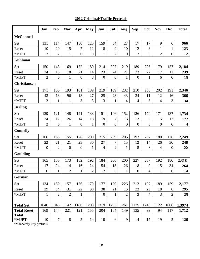# **2012 Criminal/Traffic Pretrials**

|                       | Jan              | Feb              | Mar              | Apr              | <b>May</b>       | Jun              | Jul              | Aug              | <b>Sep</b>       | Oct            | <b>Nov</b>       | <b>Dec</b>       | <b>Total</b> |
|-----------------------|------------------|------------------|------------------|------------------|------------------|------------------|------------------|------------------|------------------|----------------|------------------|------------------|--------------|
| <b>McConnell</b>      |                  |                  |                  |                  |                  |                  |                  |                  |                  |                |                  |                  |              |
| Set                   | 131              | 114              | 147              | 150              | 125              | 159              | 64               | 27               | 17               | 17             | 9                | 6                | 966          |
| Reset                 | 10               | 20               | 15               | 7                | 12               | 18               | 9                | 10               | 12               | 8              | $\mathbf{1}$     | $\mathbf{1}$     | 123          |
| *MJPT                 | $\overline{2}$   | $\overline{2}$   | $\mathbf{1}$     | $\boldsymbol{0}$ | $\boldsymbol{0}$ | $\mathbf{1}$     | $\overline{2}$   | $\boldsymbol{0}$ | $\overline{2}$   | $\overline{0}$ | $\overline{2}$   | $\overline{0}$   | 12           |
| <b>Kuhlman</b>        |                  |                  |                  |                  |                  |                  |                  |                  |                  |                |                  |                  |              |
| Set                   | 150              | 143              | 169              | 172              | 180              | 214              | 207              | 219              | 189              | 205            | 179              | 157              | 2,184        |
| Reset                 | 24               | 15               | 18               | 21               | 14               | 23               | 24               | 27               | 23               | 22             | 17               | 11               | 239          |
| *MJPT                 | 3                | $\boldsymbol{0}$ | $\mathbf{1}$     | $\boldsymbol{0}$ | 3                | $\overline{0}$   | $\boldsymbol{0}$ | $\mathbf{1}$     | $\overline{0}$   | $\mathbf{1}$   | 6                | $\boldsymbol{0}$ | 15           |
| <b>Christiansen</b>   |                  |                  |                  |                  |                  |                  |                  |                  |                  |                |                  |                  |              |
| Set                   | 171              | 166              | 193              | 181              | 189              | 219              | 189              | 232              | 210              | 203            | 202              | 191              | 2,346        |
| Reset                 | 43               | 18               | 96               | 18               | 27               | 25               | 23               | 43               | 34               | 11             | 12               | 16               | 366          |
| *MJPT                 | $\mathbf{2}$     | $\mathbf{1}$     | $\mathbf{1}$     | 3                | 3                | 3                | $\mathbf{1}$     | $\overline{4}$   | $\overline{4}$   | 5              | 4                | 3                | 34           |
| <b>Berling</b>        |                  |                  |                  |                  |                  |                  |                  |                  |                  |                |                  |                  |              |
| Set                   | 129              | 121              | 148              | 141              | 138              | 151              | 146              | 152              | 126              | 174            | 171              | 137              | 1,734        |
| Reset                 | 24               | 12               | 26               | 14               | 18               | 19               | 7                | 13               | 13               | 9              | 5                | 17               | 177          |
| *MJPT                 | $\overline{2}$   | $\boldsymbol{0}$ | $\mathbf{1}$     | $\mathbf{0}$     | $\mathbf{1}$     | $\boldsymbol{0}$ | $\overline{0}$   | $\boldsymbol{0}$ | $\boldsymbol{0}$ | $\overline{0}$ | $\boldsymbol{0}$ | $\boldsymbol{0}$ | 4            |
| <b>Connelly</b>       |                  |                  |                  |                  |                  |                  |                  |                  |                  |                |                  |                  |              |
| Set                   | 166              | 165              | 155              | 178              | 200              | 215              | 209              | 205              | 193              | 207            | 180              | 176              | 2,249        |
| Reset                 | 22               | 21               | 21               | 23               | 30               | 27               | 7                | 15               | 12               | 14             | 26               | 30               | 248          |
| *MJPT                 | $\boldsymbol{0}$ | $\overline{2}$   | $\boldsymbol{0}$ | $\boldsymbol{0}$ | $\mathbf{1}$     | $\overline{4}$   | $\overline{2}$   | $\mathbf{1}$     | 5                | 3              | 4                | $\boldsymbol{0}$ | 22           |
| Goulding              |                  |                  |                  |                  |                  |                  |                  |                  |                  |                |                  |                  |              |
| Set                   | 165              | 156              | 173              | 182              | 192              | 184              | 230              | 200              | 227              | 237            | 192              | 180              | 2,318        |
| Reset                 | 17               | 24               | 14               | 16               | 24               | 54               | 13               | 26               | 18               | 9              | 15               | 34               | 264          |
| *MJPT                 | $\overline{0}$   | $\mathbf{1}$     | $\overline{2}$   | $\mathbf{1}$     | $\overline{2}$   | $\overline{2}$   | $\overline{0}$   | 1                | $\overline{0}$   | 4              | $\mathbf{1}$     | $\overline{0}$   | 14           |
| Gorman                |                  |                  |                  |                  |                  |                  |                  |                  |                  |                |                  |                  |              |
| Set                   | 134              | 180              | 157              | 176              | 179              | 177              | 190              | 226              | 213              | 197            | 189              | 159              | 2,177        |
| Reset                 | 29               | 34               | 31               | 22               | 30               | 38               | 21               | 15               | 23               | 26             | 18               | 8                | 295          |
| *MJPT                 | $\mathbf{1}$     | $\overline{2}$   | $\overline{2}$   | $\mathbf{1}$     | $\overline{4}$   | $\mathbf{0}$     | $\mathbf{1}$     | $\overline{2}$   | 3                | $\overline{4}$ | 3                | $\overline{2}$   | 25           |
|                       |                  |                  |                  |                  |                  |                  |                  |                  |                  |                |                  |                  |              |
| <b>Total Set</b>      | 1046             | 1045             | 1142             | 1180             | 1203             | 1319             | 1235             | 1261             | 1175             | 1240           | 1122             | 1006             | 1,3974       |
| <b>Total Reset</b>    | 169              | 144              | 221              | 121              | 155              | 204              | 104              | 149              | 135              | 99             | 94               | 117              | 1,712        |
| <b>Total</b><br>*MJPT | 10               | $\overline{7}$   | $8\,$            | $\mathfrak{S}$   | 14               | 10               | 6                | 9                | 14               | 17             | 19               | 5                | 126          |

\*Mandatory jury pretrials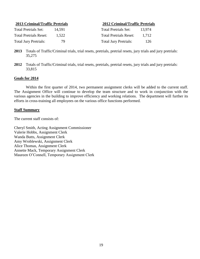| <b>2013 Criminal/Traffic Pretrials</b> |        | <b>2012 Criminal/Traffic Pretrials</b> |        |
|----------------------------------------|--------|----------------------------------------|--------|
| <b>Total Pretrials Set:</b>            | 14.591 | <b>Total Pretrials Set:</b>            | 13.974 |
| <b>Total Pretrials Reset:</b>          | 1.522  | <b>Total Pretrials Reset:</b>          | 1.712  |
| <b>Total Jury Pretrials:</b>           | 79     | <b>Total Jury Pretrials:</b>           | 126    |

- **2013** Totals of Traffic/Criminal trials, trial resets, pretrials, pretrial resets, jury trials and jury pretrials: 35,275
- **2012** Totals of Traffic/Criminal trials, trial resets, pretrials, pretrial resets, jury trials and jury pretrials: 33,815

### **Goals for 2014**

Within the first quarter of 2014, two permanent assignment clerks will be added to the current staff. The Assignment Office will continue to develop the team structure and to work in conjunction with the various agencies in the building to improve efficiency and working relations. The department will further its efforts in cross-training all employees on the various office functions performed.

#### **Staff Summary**

The current staff consists of:

Cheryl Smith, Acting Assignment Commissioner Valerie Hobbs, Assignment Clerk Wanda Butts, Assignment Clerk Amy Wroblewski, Assignment Clerk Alice Thomas, Assignment Clerk Annette Mack, Temporary Assignment Clerk Maureen O'Connell, Temporary Assignment Clerk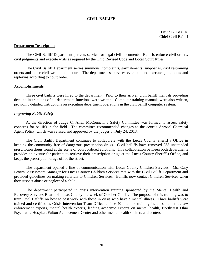#### <span id="page-22-0"></span>**CIVIL BAILIFF**

David G. Baz, Jr. Chief Civil Bailiff

#### **Department Description**

The Civil Bailiff Department perfects service for legal civil documents. Bailiffs enforce civil orders, civil judgments and execute writs as required by the Ohio Revised Code and Local Court Rules.

The Civil Bailiff Department serves summons, complaints, garnishments, subpoenas, civil restraining orders and other civil writs of the court. The department supervises evictions and executes judgments and replevins according to court order.

#### **Accomplishments**

Three civil bailiffs were hired to the department. Prior to their arrival, civil bailiff manuals providing detailed instructions of all department functions were written. Computer training manuals were also written, providing detailed instructions on executing department operations in the civil bailiff computer system.

#### *Improving Public Safety*

At the direction of Judge C. Allen McConnell, a Safety Committee was formed to assess safety concerns for bailiffs in the field. The committee recommended changes to the court's Aerosol Chemical Agent Policy, which was revised and approved by the judges on July 24, 2013.

The Civil Bailiff Department continues to collaborate with the Lucas County Sheriff's Office in keeping the community free of dangerous prescription drugs. Civil bailiffs have removed 235 unattended prescription drugs found at the scene of court ordered evictions. This collaboration between both departments provides an avenue for patients to retrieve their prescription drugs at the Lucas County Sheriff's Office, and keeps the prescription drugs off of the street.

The department opened a line of communication with Lucas County Children Services. Ms. Cary Brown, Assessment Manager for Lucas County Children Services met with the Civil Bailiff Department and provided guidelines on making referrals to Children Services. Bailiffs now contact Children Services when they suspect abuse or neglect of a child.

The department participated in crisis intervention training sponsored by the Mental Health and Recovery Services Board of Lucas County the week of October  $7 - 11$ . The purpose of this training was to train Civil Bailiffs on how to best work with those in crisis who have a mental illness. Three bailiffs were trained and certified as Crisis Intervention Team Officers. The 40 hours of training included numerous law enforcement experts, mental health experts, leading academic experts on mental health, Northwest Ohio Psychiatric Hospital, Fulton Achievement Center and other mental health shelters and centers.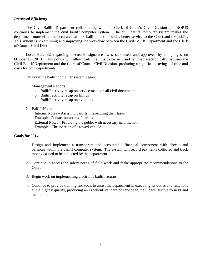#### *Increased Efficiency*

The Civil Bailiff Department collaborating with the Clerk of Court's Civil Division and NORIS continues to implement the civil bailiff computer system. The civil bailiff computer system makes the department more efficient, accurate, safe for bailiffs, and provides better service to the Court and the public. This system is streamlining and improving the workflow between the Civil Bailiff Department and the Clerk of Court's Civil Division.

Local Rule 42 regarding electronic signatures was submitted and approved by the judges on October 10, 2013. This policy will allow bailiff returns to be sent and returned electronically between the Civil Bailiff Department and the Clerk of Court's Civil Division, producing a significant savings of time and costs for both departments.

This year the bailiff computer system began:

- 1. Management Reports
	- a. Bailiff activity recap on service made on all civil documents
	- b. Bailiff activity recap on filings
	- c. Bailiff activity recap on evictions
- 2. Bailiff Notes

Internal Notes – Assisting bailiffs in executing their tasks Example: Contact numbers of parties External Notes – Providing the public with necessary information Example: The location of a towed vehicle

#### **Goals for 2014**

- 1. Design and implement a transparent and accountable financial component with checks and balances within the bailiff computer system. The system will record payments collected and track money caused to be collected by the department.
- 2. Continue to access the safety needs of field work and make appropriate recommendations to the Court.
- 3. Begin work on implementing electronic bailiff returns.
- 4. Continue to provide training and tools to assist the department in executing its duties and functions at the highest quality, producing an excellent standard of service to the judges, staff, attorneys and the public.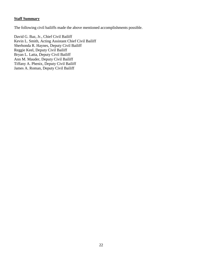# **Staff Summary**

The following civil bailiffs made the above mentioned accomplishments possible.

David G. Baz, Jr., Chief Civil Bailiff Kevin L. Smith, Acting Assistant Chief Civil Bailiff Sherhonda R. Haynes, Deputy Civil Bailiff Reggie Keel, Deputy Civil Bailiff Bryan L. Latta, Deputy Civil Bailiff Ann M. Mauder, Deputy Civil Bailiff Tiffany A. Phenix, Deputy Civil Bailiff James A. Roman, Deputy Civil Bailiff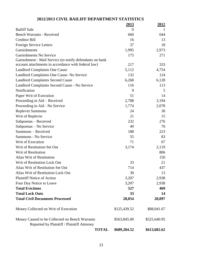# **2012/2013 CIVIL BAILIFF DEPARTMENT STATISTICS**

|                                                          | <u> 2013 </u> | <u>2012</u>  |
|----------------------------------------------------------|---------------|--------------|
| <b>Bailiff Sale</b>                                      | $\Omega$      |              |
| <b>Bench Warrants - Received</b>                         | 660           | 644          |
| <b>Creditor Bill</b>                                     | 16            | 13           |
| Foreign Service Letters                                  | 37            | 18           |
| Garnishments                                             | 1,995         | 2,973        |
| Garnishments No Service                                  | 175           | 271          |
| Garnishment - Mail Service (to notify defendants on bank |               |              |
| account attachments in accordance with federal law)      | 217           | 333          |
| <b>Landlord Complaints One Cause</b>                     | 5,112         | 4,754        |
| Landlord Complaints One Cause-No Service                 | 132           | 124          |
| <b>Landlord Complaints Second Cause</b>                  | 6,268         | 6,128        |
| Landlord Complaints Second Cause - No Service            | 116           | 113          |
| Notification                                             | 9             | 5            |
| Paper Writ of Execution                                  | 51            | 14           |
| Proceeding in Aid – Received                             | 2,788         | 3,194        |
| Proceeding in Aid - No Service                           | 1,774         | 2,078        |
| <b>Replevin Summons</b>                                  | 24            | 30           |
| Writ of Replevin                                         | 21            | 15           |
| Subpoenas - Received                                     | 232           | 276          |
| Subpoenas – No Service                                   | 49            | 76           |
| Summons - Received                                       | 188           | 223          |
| Summons - No Service                                     | 55            | 83           |
| Writ of Execution                                        | 71            | 67           |
| Writ of Restitution Set Out                              | 3,174         | 2,119        |
| Writ of Restitution                                      |               | 806          |
| Alias Writ of Restitution                                |               | 150          |
| Writ of Restitution Lock Out                             | 33            | 21           |
| Alias Writ of Restitution Set Out                        | 714           | 437          |
| Alias Writ of Restitution Lock Out                       | 30            | 13           |
| <b>Plaintiff Notice of Action</b>                        | 3,207         | 2,938        |
| Four Day Notice to Leave                                 | 3,207         | 2,938        |
| <b>Total Evictions</b>                                   | 527           | 469          |
| <b>Total Lock Outs</b>                                   | 33            | 14           |
| <b>Total Civil Documents Processed</b>                   | 28,054        | 28,097       |
| Money Collected on Writ of Execution                     | \$125,439.52  | \$88,041.67  |
| Money Caused to be Collected on Bench Warrants           | \$563,845.00  | \$525,640.95 |
| Reported by Plaintiff / Plaintiff Attorney               |               |              |
| <b>TOTAL</b>                                             | \$689,284.52  | \$613,682.62 |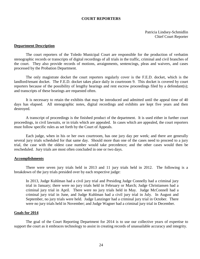#### **COURT REPORTERS**

<span id="page-26-0"></span>Patricia Lindsey-Schmidlin Chief Court Reporter

#### **Department Description**

The court reporters of the Toledo Municipal Court are responsible for the production of verbatim stenographic records or transcripts of digital recordings of all trials in the traffic, criminal and civil branches of the court. They also provide records of motions, arraignments, sentencings, pleas and waivers, and cases processed by the Probation Department.

The only magistrate docket the court reporters regularly cover is the F.E.D. docket, which is the landlord/tenant docket. The F.E.D. docket takes place daily in courtroom 9. This docket is covered by court reporters because of the possibility of lengthy hearings and rent escrow proceedings filed by a defendant(s); and transcripts of these hearings are requested often.

It is necessary to retain the exhibits that may be introduced and admitted until the appeal time of 40 days has elapsed. All stenographic notes, digital recordings and exhibits are kept five years and then destroyed.

A transcript of proceedings is the finished product of the department. It is used either in further court proceedings, in civil lawsuits, or in trials which are appealed. In cases which are appealed, the court reporters must follow specific rules as set forth by the Court of Appeals.

Each judge, when in his or her own courtroom, has one jury day per week; and there are generally several jury trials scheduled for that same day. Should more than one of the cases need to proceed to a jury trial, the case with the oldest case number would take precedence; and the other cases would then be rescheduled. Jury trials are most often concluded in one or two days.

#### **Accomplishments**

There were seven jury trials held in 2013 and 11 jury trials held in 2012. The following is a breakdown of the jury trials presided over by each respective judge:

In 2013, Judge Kuhlman had a civil jury trial and Presiding Judge Connelly had a criminal jury trial in January; there were no jury trials held in February or March; Judge Christiansen had a criminal jury trial in April. There were no jury trials held in May. Judge McConnell had a criminal jury trial in June, and Judge Kuhlman had a civil jury trial in July. In August and September, no jury trials were held. Judge Lanzinger had a criminal jury trial in October. There were no jury trials held in November; and Judge Wagner had a criminal jury trial in December.

#### **Goals for 2014**

The goal of the Court Reporting Department for 2014 is to use our collective years of expertise to support the court as it embraces technology to assist in creating records of unassailable accuracy and integrity.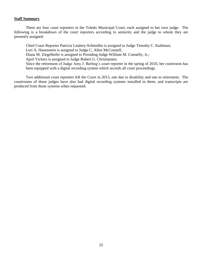#### **Staff Summary**

There are four court reporters in the Toledo Municipal Court, each assigned to her own judge. The following is a breakdown of the court reporters according to seniority and the judge to whom they are presently assigned:

Chief Court Reporter Patricia Lindsey-Schmidlin is assigned to Judge Timothy C. Kuhlman;

Lori A. Hauenstein is assigned to Judge C. Allen McConnell;

Diana M. Ziegelhofer is assigned to Presiding Judge William M. Connelly, Jr.;

April Vickers is assigned to Judge Robert G. Christiansen.

Since the retirement of Judge Amy J. Berling's court reporter in the spring of 2010, her courtroom has been equipped with a digital recording system which records all court proceedings.

Two additional court reporters left the Court in 2013, one due to disability and one to retirement. The courtrooms of those judges have also had digital recording systems installed in them; and transcripts are produced from those systems when requested.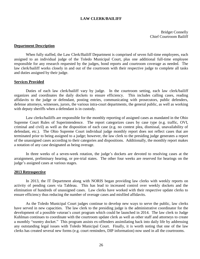#### **LAW CLERK/BAILIFF**

<span id="page-28-0"></span>Bridget Connelly Chief Courtroom Bailiff

#### **Department Description**

When fully staffed, the Law Clerk/Bailiff Department is comprised of seven full-time employees, each assigned to an individual judge of the Toledo Municipal Court, plus one additional full-time employee responsible for any research requested by the judges, bond reports and courtroom coverage as needed. The law clerk/bailiff works closely in and out of the courtroom with their respective judge to complete all tasks and duties assigned by their judge.

#### **Services Provided**

Duties of each law clerk/bailiff vary by judge. In the courtroom setting, each law clerk/bailiff organizes and coordinates the daily dockets to ensure efficiency. This includes calling cases, reading affidavits to the judge or defendant, posting entries, communicating with prosecutors, public defenders, defense attorneys, witnesses, jurors, the various intra-court departments, the general public, as well as working with deputy sheriffs when a defendant is in custody.

Law clerks/bailiffs are responsible for the monthly reporting of assigned cases as mandated in the Ohio Supreme Court Rules of Superintendence. The report categorizes cases by case type (e.g. traffic, OVI, criminal and civil) as well as the disposition of each case (e.g. no contest plea, dismissal, unavailability of defendant, etc.). The Ohio Supreme Court individual judge monthly report does not reflect cases that are terminated prior to being assigned to a judge; however, the law clerk to the presiding judge generates a report of the unassigned cases according to their categories and dispositions. Additionally, the monthly report makes a notation of any case designated as being overage.

In three weeks of a seven-week rotation, the judge's dockets are devoted to resolving cases at the arraignment, preliminary hearing, or pre-trial states. The other four weeks are reserved for hearings on the judge's assigned cases at various stages.

#### **2013 Retrospective**

In 2013, the IT Department along with NORIS began providing law clerks with weekly reports on activity of pending cases via Tableau. This has lead to increased control over weekly dockets and the elimination of hundreds of unassigned cases. Law clerks have worked with their respective update clerks to ensure efficiency thus reducing the number of overage cases and misfiled affidavits.

As the Toledo Municipal Court judges continue to develop new ways to serve the public, law clerks have served in new capacities. The law clerk to the presiding judge is the administrative coordinator for the development of a possible veteran's court program which could be launched in 2014. The law clerk to Judge Kuhlman continues to coordinate with the courtroom update clerk as well as other staff and attorneys to create a monthly "reentry docket." This program assists ex-offenders assimilating back into daily life by addressing any outstanding legal issues with Toledo Municipal Court. Finally, it is worth noting that one of the law clerks has created several new forms (e.g. court reminders, DIP information) now used in all the courtrooms.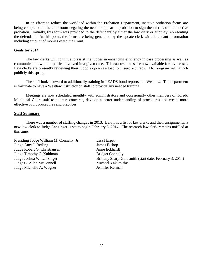In an effort to reduce the workload within the Probation Department, inactive probation forms are being completed in the courtroom negating the need to appear in probation to sign their terms of the inactive probation. Initially, this form was provided to the defendant by either the law clerk or attorney representing the defendant. At this point, the forms are being generated by the update clerk with defendant information including amount of monies owed the Court.

#### **Goals for 2014**

The law clerks will continue to assist the judges in enhancing efficiency in case processing as well as communication with all parties involved in a given case. Tableau resources are now available for civil cases. Law clerks are presently reviewing their judge's open caseload to ensure accuracy. The program will launch publicly this spring.

The staff looks forward to additionally training in LEADS bond reports and Westlaw. The department is fortunate to have a Westlaw instructor on staff to provide any needed training.

Meetings are now scheduled monthly with administrators and occasionally other members of Toledo Municipal Court staff to address concerns, develop a better understanding of procedures and create more effective court procedures and practices.

#### **Staff Summary**

There was a number of staffing changes in 2013. Below is a list of law clerks and their assignments; a new law clerk to Judge Lanzinger is set to begin February 3, 2014. The research law clerk remains unfilled at this time.

Presiding Judge William M. Connelly, Jr. Lisa Harper Judge Amy J. Berling James Bishop Judge Robert G. Christiansen Anne Eckhardt Judge Timothy C. Kuhlman Bridget Connelly Judge C. Allen McConnell Michael Yakumithis Judge Michelle A. Wagner Jennifer Kerman

Judge Joshua W. Lanzinger Brittany Sharp-Goldsmith (start date: February 3, 2014)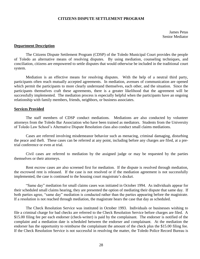#### **CITIZENS DISPUTE SETTLEMENT PROGRAM**

<span id="page-30-0"></span>James Petas Senior Mediator

#### **Department Description**

The Citizens Dispute Settlement Program (CDSP) of the Toledo Municipal Court provides the people of Toledo an alternative means of resolving disputes. By using mediation, counseling techniques, and conciliation, citizens are empowered to settle disputes that would otherwise be included in the traditional court system.

Mediation is an effective means for resolving disputes. With the help of a neutral third party, participants often reach mutually accepted agreements. In mediation, avenues of communication are opened which permit the participants to more clearly understand themselves, each other, and the situation. Since the participants themselves craft these agreements, there is a greater likelihood that the agreement will be successfully implemented. The mediation process is especially helpful when the participants have an ongoing relationship with family members, friends, neighbors, or business associates.

#### **Services Provided**

The staff members of CDSP conduct mediations. Mediations are also conducted by volunteer attorneys from the Toledo Bar Association who have been trained as mediators. Students from the University of Toledo Law School's Alternative Dispute Resolution class also conduct small claims mediations.

Cases are referred involving misdemeanor behavior such as menacing, criminal damaging, disturbing the peace and theft. These cases can be referred at any point, including before any charges are filed, at a pretrial conference or even at trial.

Civil cases are referred to mediation by the assigned judge or may be requested by the parties themselves or their attorneys.

Rent escrow cases are also screened first for mediation. If the dispute is resolved through mediation, the escrowed rent is released. If the case is not resolved or if the mediation agreement is not successfully implemented, the case is continued to the housing court magistrate's docket.

"Same day" mediation for small claims cases was initiated in October 1994. As individuals appear for their scheduled small claims hearing, they are presented the option of mediating their dispute that same day. If both parties agree, "same day" mediation is conducted rather than the parties appearing before the magistrate. If a resolution is not reached through mediation, the magistrate hears the case that day as scheduled.

The Check Resolution Service was instituted in October 1993. Individuals or businesses wishing to file a criminal charge for bad checks are referred to the Check Resolution Service before charges are filed. A \$15.00 filing fee per each endorser (check-writer) is paid by the complainant. The endorser is notified of the complaint and a mediation date is scheduled between the endorser and complainant. At the mediation the endorser has the opportunity to reimburse the complainant the amount of the check plus the \$15.00 filing fee. If the Check Resolution Service is not successful in resolving the matter, the Toledo Police Record Bureau is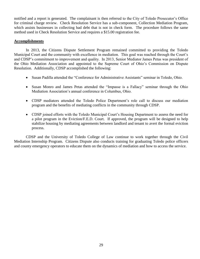notified and a report is generated. The complainant is then referred to the City of Toledo Prosecutor's Office for criminal charge review. Check Resolution Service has a sub-component, Collection Mediation Program, which assists businesses in collecting bad debt that is not in check form. The procedure follows the same method used in Check Resolution Service and requires a \$15.00 registration fee.

#### **Accomplishments**

In 2013, the Citizens Dispute Settlement Program remained committed to providing the Toledo Municipal Court and the community with excellence in mediation. This goal was reached through the Court's and CDSP's commitment to improvement and quality. In 2013, Senior Mediator James Petas was president of the Ohio Mediation Association and appointed to the Supreme Court of Ohio's Commission on Dispute Resolution. Additionally, CDSP accomplished the following:

- Susan Padilla attended the "Conference for Administrative Assistants" seminar in Toledo, Ohio.
- Susan Monro and James Petas attended the "Impasse is a Fallacy" seminar through the Ohio Mediation Association's annual conference in Columbus, Ohio.
- CDSP mediators attended the Toledo Police Department's role call to discuss our mediation program and the benefits of mediating conflicts in the community through CDSP.
- CDSP joined efforts with the Toledo Municipal Court's Housing Department to assess the need for a pilot program in the Eviction/F.E.D. Court. If approved, the program will be designed to help stabilize housing by mediating agreements between landlord and tenant to avert the formal eviction process.

CDSP and the University of Toledo College of Law continue to work together through the Civil Mediation Internship Program. Citizens Dispute also conducts training for graduating Toledo police officers and county emergency operators to educate them on the dynamics of mediation and how to access the service.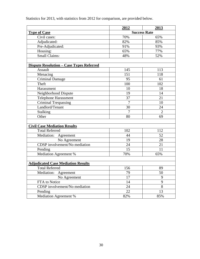Statistics for 2013, with statistics from 2012 for comparison, are provided below.

|                                                 | 2012           | 2013                |
|-------------------------------------------------|----------------|---------------------|
| <b>Type of Case</b>                             |                | <b>Success Rate</b> |
| Civil cases:                                    | 70%            | 65%                 |
| Adjudicated:                                    | 82%            | 85%                 |
| Pre-Adjudicated:                                | 91%            | 93%                 |
| Housing:                                        | 65%            | 77%                 |
| <b>Small Claims:</b>                            | 48%            | 52%                 |
|                                                 |                |                     |
| <b>Dispute Resolution - Case Types Referred</b> |                |                     |
| Assault                                         | 145            | 113                 |
| Menacing                                        | 151            | 118                 |
| <b>Criminal Damage</b>                          | 95             | 61                  |
| Theft                                           | 100            | 102                 |
| Harassment                                      | 10             | 18                  |
| Neighborhood Dispute                            | 19             | 14                  |
| <b>Telephone Harassment</b>                     | 37             | 21                  |
| <b>Criminal Trespassing</b>                     | $\overline{7}$ | 10                  |
| Landlord/Tenant                                 | 30             | 24                  |
| <b>Stalking</b>                                 | $\overline{7}$ | $\overline{2}$      |
| Other                                           | 80             | 69                  |
|                                                 |                |                     |
| <b>Civil Case Mediation Results</b>             |                |                     |
| <b>Total Referred</b>                           | 102            | 112                 |
| Mediation: Agreement                            | 44             | 52                  |
| No Agreement                                    | 19             | 28                  |
| <b>CDSP</b> involvement/No mediation            | 24             | 21                  |
| Pending                                         | 15             | 11                  |
| Mediation Agreement %                           | 70%            | 65%                 |
|                                                 |                |                     |
| <b>Adjudicated Case Mediation Results</b>       |                |                     |
| <b>Total Referred</b>                           | 156            | 89                  |
| Mediation:<br>Agreement                         | 79             | 50                  |
| No Agreement                                    | 17             | 9                   |
| FTA to Notice                                   | 14             | 9                   |
| CDSP involvement/No mediation                   | 24             | 8                   |
| Pending                                         | 22             | 13                  |
| Mediation Agreement %                           | 82%            | 85%                 |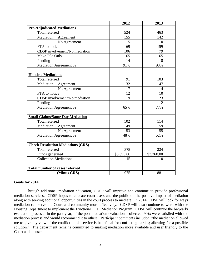|                                          | 2012                   | 2013                        |
|------------------------------------------|------------------------|-----------------------------|
| <b>Pre-Adjudicated Mediations</b>        |                        |                             |
| Total referred                           | 524                    | 463                         |
| Mediation: Agreement                     | 155                    | 142                         |
| No Agreement                             | 15                     | 10                          |
| FTA to notice                            | 169                    | 159                         |
| CDSP involvement/No mediation            | 106                    | 79                          |
| Make File Only                           | 65                     | 65                          |
| Pending                                  | 14                     | 8                           |
| Mediation Agreement %                    | 91%                    | 93%                         |
| <b>Housing Mediations</b>                |                        |                             |
| Total referred                           | 91                     | 103                         |
| Mediation: Agreement                     | $\overline{32}$        | 47                          |
| No Agreement                             | 17                     | 14                          |
| FTA to notice                            | 12                     | 10                          |
| CDSP involvement/No mediation            | 19                     | 23                          |
| Pending                                  | 11                     | $\mathcal{D}_{\mathcal{L}}$ |
| <b>Mediation Agreement %</b>             | 65%                    | 77%                         |
| <b>Small Claims/Same Day Mediation</b>   |                        |                             |
| <b>Total referred</b>                    | 102                    | 114                         |
| Mediation: Agreement                     | 49                     | 59                          |
| No Agreement                             | 53                     | 55                          |
| Mediation Agreement %                    | 48%                    | 52%                         |
| <b>Check Resolution Mediations (CRS)</b> |                        |                             |
| Total referred                           | 378                    | 224                         |
| Funds generated                          | $\overline{$5,895.00}$ | \$3,360.00                  |
| <b>Collection Mediations</b>             | 15                     | $\theta$                    |
| <b>Total number of cases referred</b>    |                        |                             |
| (Minus CRS)                              | 975                    | 881                         |

#### **Goals for 2014**

Through additional mediation education, CDSP will improve and continue to provide professional mediation services. CDSP hopes to educate court users and the public on the positive impact of mediation along with seeking additional opportunities in the court process to mediate. In 2014, CDSP will look for ways mediation can serve the Court and community more effectively. CDSP will also continue to work with the Housing Department to implement the Eviction/F.E.D. Mediation Program. CDSP will continue the bi-yearly evaluation process. In the past year, of the post mediation evaluations collected, 90% were satisfied with the mediation process and would recommend it to others. Participant comments included, "the mediation allowed me to give my view of the conflict – this service is beneficial for conflicting parties; allowing for a possible solution." The department remains committed to making mediation more available and user friendly to the Court and its users.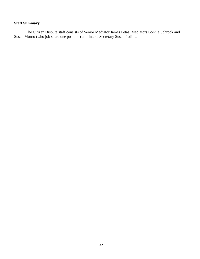## **Staff Summary**

The Citizen Dispute staff consists of Senior Mediator James Petas, Mediators Bonnie Schrock and Susan Monro (who job share one position) and Intake Secretary Susan Padilla.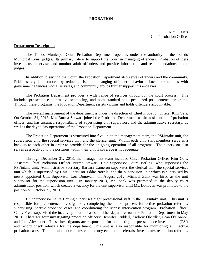#### <span id="page-35-0"></span>**PROBATION**

Kim E. Oats Chief Probation Officer

#### **Department Description**

The Toledo Municipal Court Probation Department operates under the authority of the Toledo Municipal Court judges. Its primary role is to support the Court in managing offenders. Probation officers investigate, supervise, and monitor adult offenders and provide information and recommendations to the judges.

In addition to serving the Court, the Probation Department also serves offenders and the community. Public safety is promoted by reducing risk and changing offender behavior. Local partnerships with government agencies, social services, and community groups further support this endeavor.

The Probation Department provides a wide range of services throughout the court process. This includes pre-sentence, alternative sentencing, and both standard and specialized post-sentence programs. Through these programs, the Probation Department assists victims and holds offenders accountable.

The overall management of the department is under the direction of Chief Probation Officer Kim Oats. On October 31, 2013, Ms. Burma Stewart joined the Probation Department as the assistant chief probation officer, and has assumed responsibility of supervising unit supervisors and the administrative secretary, as well as the day to day operations of the Probation Department.

The Probation Department is structured into five units: the management team, the PSI/intake unit, the supervision unit, the special services unit, and the clerical unit. Within each unit, staff members serve as a back-up to each other in order to provide for the on-going operation of all programs. The supervisor also serves as a back-up to the positions within their unit if coverage is not adequate.

Through December 31, 2013, the management team included Chief Probation Officer Kim Oats; Assistant Chief Probation Officer Burma Stewart; Unit Supervisor Laura Berling, who supervises the PSI/intake unit; Administrative Secretary Barbara Cameron supervises the clerical unit, the special services unit which is supervised by Unit Supervisor Eddie Norrils; and the supervision unit which is supervised by newly appointed Unit Supervisor Lori Donovan. In August 2012, Michael Zenk was hired as the unit supervisor for the supervision unit. In January 2013, Mr. Zenk was promoted to the deputy court administrator position, which created a vacancy for the unit supervisor until Ms. Donovan was promoted to the position on October 31, 2013.

Unit Supervisor Laura Berling supervises eight professional staff in the PSI/intake unit. This unit is responsible for pre-sentence investigations, completing the intake process for active probation referrals, supervising inactive probation cases, and coordinating the license intervention program. Probation Officer Cathy Freeh supervised the inactive probation cases until her departure from the Probation Department in May 2013. There are four investigating probation officers: Jennifer Friddell, Andrew Oberdier, Sean O'Connor, and Jodi Alexander. These investigators are responsible for completing all pre-sentence investigation (PSI) and record check referrals for the department. This unit is also responsible for monitoring all inactive probation cases. The unit also coordinates competency evaluation referrals, investigates restitution referrals,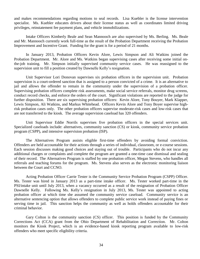and makes recommendations regarding motions to seal records. Lisa Kuebler is the license intervention specialist. Ms. Kuebler educates drivers about their license status as well as coordinates limited driving privileges, reinstatement fee payment plans, and vehicle immobilizations.

Intake Officers Kimberly Beale and Sean Mannooch are also supervised by Ms. Berling. Ms. Beale and Mr. Mannooch currently work full-time as the result of the Probation Department receiving the Probation Improvement and Incentive Grant. Funding for the grant is for a period of 21 months.

In January 2013, Probation Officers Kevin Alore, Lewis Simpson and Ali Watkins joined the Probation Department. Mr. Alore and Ms. Watkins began supervising cases after receiving some initial onthe-job training. Mr. Simpson initially supervised community service cases. He was reassigned to the supervision unit to fill a position created by Dawnelle Kelly's resignation.

Unit Supervisor Lori Donovan supervises six probation officers in the supervision unit.Probation supervision is a court-ordered sanction that is assigned to a person convicted of a crime. It is an alternative to jail and allows the offender to remain in the community under the supervision of a probation officer. Supervising probation officers complete risk assessments, make social service referrals, monitor drug screens, conduct record checks, and enforce the orders of the court. Significant violations are reported to the judge for further disposition. There are six supervising probation officers: Kevin Alore, Tony Bouyer, Mark Klapper, Lewis Simpson, Ali Watkins, and Markus Whitehead. Officers Kevin Alore and Tony Boyer supervise highrisk probation cases only. The other probation officers supervise moderate-risk cases and low-risk cases that are not transferred to the kiosk. The average supervision caseload has 320 offenders.

Unit Supervisor Eddie Norrils supervises five probation officers in the special services unit. Specialized caseloads include: alternatives, community sanction (CS) or kiosk, community service probation program (CSPP), and intensive supervision probation (ISP).

The Alternatives Program assists eligible first-time offenders by avoiding formal conviction. Offenders are held accountable for their actions through a series of individual, classroom, or e-course sessions. Each session discusses making good choices and staying out of trouble. Participants who do not incur any additional charges or complaints and complete the program are granted a one-time case dismissal and sealing of their record. The Alternatives Program is staffed by one probation officer, Megan Stevens, who handles all referrals and teaching forums for the program. Ms. Stevens also serves as the electronic monitoring liaison between the Court and CCNO.

Acting Probation Officer Carrie Tester is the Community Service Probation Program (CSPP) Officer. Ms. Tester was hired in January 2013 as a part-time intake officer. Ms. Tester worked part-time in the PSI/intake unit until July 2013, when a vacancy occurred as a result of the resignation of Probation Officer Dawnelle Kelly. Following Ms. Kelly's resignation in July 2013, Ms. Tester was appointed to acting probation officer at which time she assumed the community service caseload. Community service is an alternative sentencing option that allows offenders to complete public service work instead of paying fines or serving time in jail. This sanction helps the community as well as holds offenders accountable for their criminal behavior.

Gary Colton is the community sanction (CS) officer. This position is funded by the Community Corrections Act (CCA) grant from the Ohio Department of Rehabilitation and Correction. Mr. Colton monitors the Kiosk Project, which is an evidence-based kiosk reporting program available to low-risk offenders who meet specific eligibility criteria.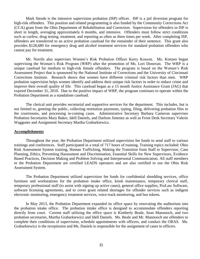Mark Steude is the intensive supervision probation (ISP) officer. ISP is a jail diversion program for high-risk offenders. This position and related programming is also funded by the Community Corrections Act (CCA) grant from the Ohio Department of Rehabilitation and Correction. Supervision for offenders in ISP is short in length, averaging approximately 6 months, and intensive. Offenders must follow strict conditions such as curfew, drug testing, treatment, and reporting as often as three times per week. After completing ISP, offenders are transferred to an active probation caseload for the remainder of their sentence. This grant also provides \$128,689 for emergency drug and alcohol treatment services for standard probation offenders who cannot pay for treatment.

Mr. Norrils also supervises Women's Risk Probation Officer Kerry Konzen. Ms. Konzen began supervising the Women's Risk Program (WRP) after the promotion of Ms. Lori Donovan. The WRP is a unique caseload for medium to high-risk female offenders. The program is based on the Women's Risk Assessment Project that is sponsored by the National Institute of Corrections and the University of Cincinnati Corrections Institute. Research shows that women have different criminal risk factors than men. WRP probation supervision helps women identify and address their unique risk factors in order to reduce crime and improve their overall quality of life. This caseload began as a 15 month Justice Assistance Grant (JAG) that expired December 31, 2010. Due to the positive impact of WRP, the program continues to operate within the Probation Department as a standalone caseload.

The clerical unit provides secretarial and supportive services for the department. This includes, but is not limited to, greeting the public, collecting restitution payments, typing, filing, delivering probation files to the courtrooms, and processing in-coming cases. Administrative Secretary Barbara Cameron supervises Probation Secretaries Mary Baker, Idell Daniels, and Darlene Jimenez as well as Front Desk Secretary Valerie Waggoner and Assignment Secretary Martha Grabarkiewicz.

#### **Accomplishments**

Throughout the year, the Probation Department utilized supervision fee funds to send staff to various trainings and conferences. Staff participated in a total of 717 hours of training. Training topics included: Ohio Risk Assessment System training, Human Trafficking, Making the Transition from Staff to Supervisor, Case Planning, Ethics, Preventing Harassment and Discrimination, Essential Skills for New Supervisors, Evidence Based Practices, Decision Making and Problem Solving and Interpersonal Communication. All staff members in the Probation Department are certified LEADS operators and are also certified to use the Ohio Risk Assessment System.

The Probation Department utilized supervision fee funds for confidential shredding services, office furniture and workstations for the probation intake office, kiosk maintenance, temporary clerical staff, temporary professional staff (to assist with signing up active cases), general office supplies, ProLaw Software, software licensing agreements, and to cover grant related shortages for offender services such as indigent electronic monitoring, emergency treatment services, voice track monitoring, and bus tokens.

In May 2013, the Probation Department expanded its office space by renovating the auditorium into the probation intake office. The probation intake office is designed to accommodate offenders reporting directly from court. Current staff utilizing the office space is Kimberly Beale, Sean Mannooch, and two probation secretaries, Martha Grabarkiewicz and Idell Daniels. Ms. Beale and Mr. Mannooch see offenders to complete their conditions of supervision, schedule appointments with officers, and conduct the ORAS. Ms. Grabarkiewicz is the receptionist and Ms. Daniels is responsible for the assignment of cases to officers.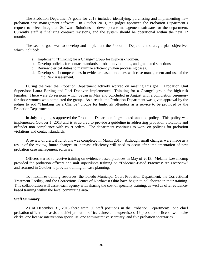The Probation Department's goals for 2013 included identifying, purchasing and implementing new probation case management software. In October 2013, the judges approved the Probation Department's request to select Integrated Software Solutions to develop case management software for the department. Currently staff is finalizing contract revisions, and the system should be operational within the next 12 months.

The second goal was to develop and implement the Probation Department strategic plan objectives which included:

- a. Implement "Thinking for a Change" group for high-risk women.
- b. Develop policies for contact standards, probation violations, and graduated sanctions.
- c. Review clerical duties to maximize efficiency when processing cases.
- d. Develop staff competencies in evidence-based practices with case management and use of the Ohio Risk Assessment.

During the year the Probation Department actively worked on meeting this goal. Probation Unit Supervisor Laura Berling and Lori Donovan implemented "Thinking for a Change" group for high-risk females. There were 26 sessions which began in May and concluded in August with a completion ceremony for those women who completed the group. As a result, the Probation Department was given approval by the judges to add "Thinking for a Change" groups for high-risk offenders as a service to be provided by the Probation Department.

In July the judges approved the Probation Department's graduated sanction policy. This policy was implemented October 1, 2013 and is structured to provide a guideline in addressing probation violations and offender non compliance with court orders. The department continues to work on policies for probation violations and contact standards.

A review of clerical functions was completed in March 2013. Although small changes were made as a result of the review, future changes to increase efficiency will need to occur after implementation of new probation case management software.

Officers started to receive training on evidence-based practices in May of 2013. Melanie Lowenkamp provided the probation officers and unit supervisors training on "Evidence-Based Practices: An Overview" and returned in October to provide training on case planning.

To maximize training resources, the Toledo Municipal Court Probation Department, the Correctional Treatment Facility, and the Corrections Center of Northwest Ohio have begun to collaborate in their training. This collaboration will assist each agency with sharing the cost of specialty training, as well as offer evidencebased training within the local commuting area.

#### **Staff Summary**

As of December 31, 2013 there were 30 staff positions in the Probation Department: one chief probation officer, one assistant chief probation officer, three unit supervisors, 16 probation officers, two intake clerks, one license intervention specialist, one administrative secretary, and five probation secretaries.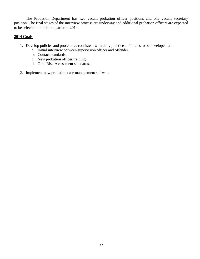The Probation Department has two vacant probation officer positions and one vacant secretary position. The final stages of the interview process are underway and additional probation officers are expected to be selected in the first quarter of 2014.

### **2014 Goals**

- 1. Develop policies and procedures consistent with daily practices. Policies to be developed are:
	- a. Initial interview between supervision officer and offender.
	- b. Contact standards.
	- c. New probation officer training.
	- d. Ohio Risk Assessment standards.
- 2. Implement new probation case management software.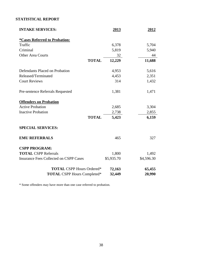# **STATISTICAL REPORT**

| <b>INTAKE SERVICES:</b>                       | 2013       | 2012       |
|-----------------------------------------------|------------|------------|
| <i><b>*Cases Referred to Probation:</b></i>   |            |            |
| Traffic                                       | 6,378      | 5,704      |
| Criminal                                      | 5,819      | 5,940      |
| <b>Other Area Courts</b>                      | 32         | 44         |
| <b>TOTAL</b>                                  | 12,229     | 11,688     |
| Defendants Placed on Probation                | 4,953      | 5,616      |
| Released/Terminated                           | 4,453      | 2,351      |
| <b>Court Reviews</b>                          | 314        | 1,432      |
| Pre-sentence Referrals Requested              | 1,381      | 1,471      |
| <b>Offenders on Probation</b>                 |            |            |
| <b>Active Probation</b>                       | 2,685      | 3,304      |
| <b>Inactive Probation</b>                     | 2,738      | 2,855      |
| <b>TOTAL</b>                                  | 5,423      | 6,159      |
| <b>SPECIAL SERVICES:</b>                      |            |            |
| <b>EMU REFERRALS</b>                          | 465        | 327        |
| <b>CSPP PROGRAM:</b>                          |            |            |
| <b>TOTAL CSPP Referrals</b>                   | 1,800      | 1,492      |
| <b>Insurance Fees Collected on CSPP Cases</b> | \$5,935.70 | \$4,596.30 |
| <b>TOTAL CSPP Hours Ordered*</b>              | 72,163     | 65,455     |
| <b>TOTAL CSPP Hours Completed*</b>            | 32,449     | 20,990     |

\* Some offenders may have more than one case referred to probation.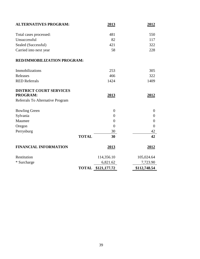| <b>ALTERNATIVES PROGRAM:</b>     | 2013           | 2012           |
|----------------------------------|----------------|----------------|
| Total cases processed:           | 481            | 550            |
| Unsuccessful                     | 82             | 117            |
| Sealed (Successful)              | 421            | 322            |
| Carried into next year           | 58             | 228            |
| RED/IMMOBILIZATION PROGRAM:      |                |                |
| Immobilizations                  | 253            | 305            |
| Releases                         | 466            | 322            |
| <b>RED Referrals</b>             | 1424           | 1409           |
| <b>DISTRICT COURT SERVICES</b>   |                |                |
| PROGRAM:                         | 2013           | 2012           |
| Referrals To Alternative Program |                |                |
| <b>Bowling Green</b>             | $\overline{0}$ | $\overline{0}$ |
| Sylvania                         | $\theta$       | $\theta$       |
| Maumee                           | $\overline{0}$ | $\theta$       |
| Oregon                           | $\overline{0}$ | $\overline{0}$ |
| Perrysburg                       | 30             | 42             |
| <b>TOTAL</b>                     | 30             | 42             |
| <b>FINANCIAL INFORMATION</b>     | <u>2013</u>    | 2012           |
| Restitution                      | 114,356.10     | 105,024.64     |
| * Surcharge                      | 6,821.62       | 7,723.90       |
| <b>TOTAL</b>                     | \$121,177.72   | \$112,748.54   |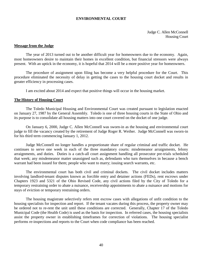#### **ENVIRONMENTAL COURT**

<span id="page-42-0"></span>Judge C. Allen McConnell Housing Court

#### **Message from the Judge**

The year of 2013 turned out to be another difficult year for homeowners due to the economy. Again, most homeowners desire to maintain their homes in excellent condition, but financial stressors were always present. With an uptick in the economy, it is hopeful that 2014 will be a more positive year for homeowners.

The procedure of assignment upon filing has become a very helpful procedure for the Court. This procedure eliminated the necessity of delay in getting the cases to the housing court docket and results in greater efficiency in processing cases.

I am excited about 2014 and expect that positive things will occur in the housing market.

#### **The History of Housing Court**

The Toledo Municipal Housing and Environmental Court was created pursuant to legislation enacted on January 27, 1987 by the General Assembly. Toledo is one of three housing courts in the State of Ohio and its purpose is to consolidate all housing matters into one court covered on the docket of one judge.

On January 6, 2000, Judge C. Allen McConnell was sworn-in as the housing and environmental court judge to fill the vacancy created by the retirement of Judge Roger R. Weiher. Judge McConnell was sworn-in for his third term commencing January 1, 2012.

Judge McConnell no longer handles a proportionate share of regular criminal and traffic docket. He continues to serve one week in each of the three mandatory courts: misdemeanor arraignments, felony arraignments, and duties. Duties is a catch-all court assignment handling all prosecutor pre-trials scheduled that week; any misdemeanor matter unassigned such as, defendants who turn themselves in because a bench warrant had been issued for them; people who want to marry; issuing search warrants, etc.

The environmental court has both civil and criminal dockets. The civil docket includes matters involving landlord-tenant disputes known as forcible entry and detainer actions (FEDs), rent escrows under Chapters 1923 and 5321 of the Ohio Revised Code, any civil actions filed by the City of Toledo for a temporary restraining order to abate a nuisance, receivership appointments to abate a nuisance and motions for stays of eviction or temporary restraining orders.

The housing magistrate selectively refers rent escrow cases with allegations of unfit condition to the housing specialists for inspection and report. If the tenant vacates during this process, the property owner may be ordered not to re-rent the unit until these conditions are corrected. Generally, Chapter 17 of the Toledo Municipal Code (the Health Code) is used as the basis for inspection. In referred cases, the housing specialists assist the property owner in establishing timeframes for correction of violations. The housing specialist performs re-inspections and reports to the Court when code compliance has been reached.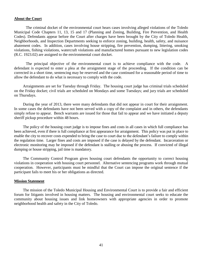#### **About the Court**

The criminal docket of the environmental court hears cases involving alleged violations of the Toledo Municipal Code Chapters 11, 13, 15 and 17 (Planning and Zoning, Building, Fire Prevention, and Health Codes). Defendants appear before the Court after charges have been brought by the City of Toledo Health, Neighborhoods, and Inspection Departments seeking to enforce zoning, building, health, safety, and nuisance abatement codes. In addition, cases involving house stripping, fire prevention, dumping, littering, smoking violations, fishing violations, watercraft violations and manufactured homes pursuant to new legislation codes (R.C. 1923.02) are assigned to the environmental court docket.

The principal objective of the environmental court is to achieve compliance with the code. A defendant is expected to enter a plea at the arraignment stage of the proceeding. If the condition can be corrected in a short time, sentencing may be reserved and the case continued for a reasonable period of time to allow the defendant to do what is necessary to comply with the code.

Arraignments are set for Tuesday through Friday. The housing court judge has criminal trials scheduled on the Friday docket; civil trials are scheduled on Mondays and some Tuesdays; and jury trials are scheduled on Thursdays.

During the year of 2013, there were many defendants that did not appear in court for their arraignment. In some cases the defendants have not been served with a copy of the complaint and in others, the defendants simply refuse to appear. Bench warrants are issued for those that fail to appear and we have initiated a deputy sheriff pickup procedure within 48 hours.

The policy of the housing court judge is to impose fines and costs in all cases in which full compliance has been achieved, even if there is full compliance at first appearance for arraignment. This policy was put in place to enable the city to recover costs expended to bring the case to court due to the defendant's failure to comply within the regulation time. Larger fines and costs are imposed if the case is delayed by the defendant. Incarceration or electronic monitoring may be imposed if the defendant is stalling or abusing the process. If convicted of illegal dumping or house stripping, jail time is mandatory.

The Community Control Program gives housing court defendants the opportunity to correct housing violations in cooperation with housing court personnel. Alternative sentencing programs work through mutual cooperation. However, participants must be mindful that the Court can impose the original sentence if the participant fails to meet his or her obligations as directed.

#### **Mission Statement**

The mission of the Toledo Municipal Housing and Environmental Court is to provide a fair and efficient forum for litigants involved in housing matters. The housing and environmental court seeks to educate the community about housing issues and link homeowners with appropriate agencies in order to promote neighborhood health and safety in the City of Toledo.